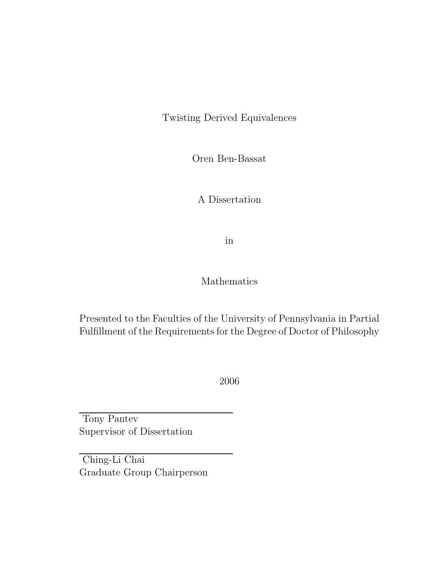Twisting Derived Equivalences

Oren Ben-Bassat

A Dissertation

in

#### Mathematics

Presented to the Faculties of the University of Pennsylvania in Partial Fulfillment of the Requirements for the Degree of Doctor of Philosophy

2006

Tony Pantev Supervisor of Dissertation

Ching-Li Chai Graduate Group Chairperson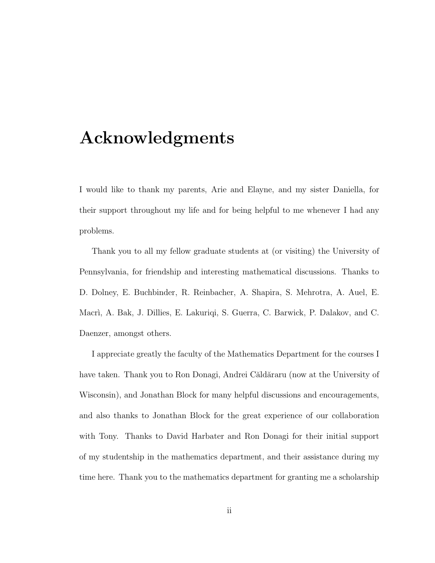### Acknowledgments

I would like to thank my parents, Arie and Elayne, and my sister Daniella, for their support throughout my life and for being helpful to me whenever I had any problems.

Thank you to all my fellow graduate students at (or visiting) the University of Pennsylvania, for friendship and interesting mathematical discussions. Thanks to D. Dolney, E. Buchbinder, R. Reinbacher, A. Shapira, S. Mehrotra, A. Auel, E. Macrì, A. Bak, J. Dillies, E. Lakuriqi, S. Guerra, C. Barwick, P. Dalakov, and C. Daenzer, amongst others.

I appreciate greatly the faculty of the Mathematics Department for the courses I have taken. Thank you to Ron Donagi, Andrei Căldăraru (now at the University of Wisconsin), and Jonathan Block for many helpful discussions and encouragements, and also thanks to Jonathan Block for the great experience of our collaboration with Tony. Thanks to David Harbater and Ron Donagi for their initial support of my studentship in the mathematics department, and their assistance during my time here. Thank you to the mathematics department for granting me a scholarship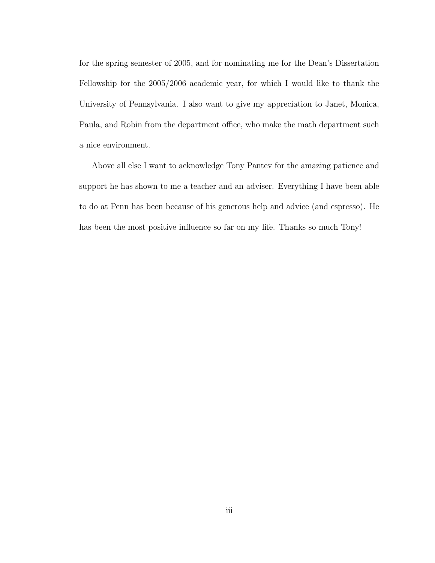for the spring semester of 2005, and for nominating me for the Dean's Dissertation Fellowship for the 2005/2006 academic year, for which I would like to thank the University of Pennsylvania. I also want to give my appreciation to Janet, Monica, Paula, and Robin from the department office, who make the math department such a nice environment.

Above all else I want to acknowledge Tony Pantev for the amazing patience and support he has shown to me a teacher and an adviser. Everything I have been able to do at Penn has been because of his generous help and advice (and espresso). He has been the most positive influence so far on my life. Thanks so much Tony!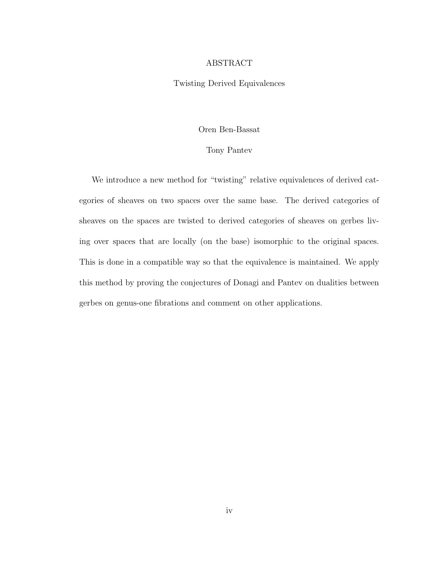#### ABSTRACT

#### Twisting Derived Equivalences

#### Oren Ben-Bassat

#### Tony Pantev

We introduce a new method for "twisting" relative equivalences of derived categories of sheaves on two spaces over the same base. The derived categories of sheaves on the spaces are twisted to derived categories of sheaves on gerbes living over spaces that are locally (on the base) isomorphic to the original spaces. This is done in a compatible way so that the equivalence is maintained. We apply this method by proving the conjectures of Donagi and Pantev on dualities between gerbes on genus-one fibrations and comment on other applications.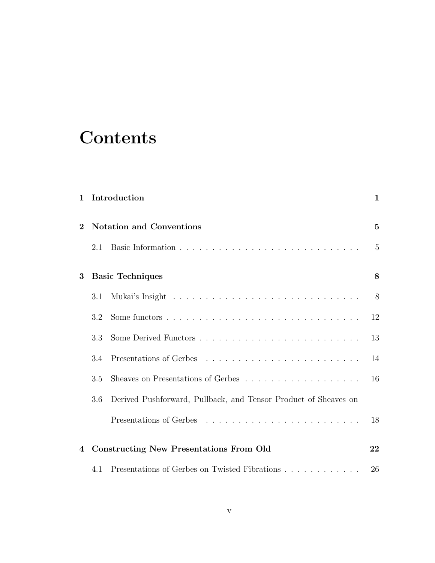### **Contents**

| $\mathbf{1}$   |                         | Introduction                                                    | 1              |
|----------------|-------------------------|-----------------------------------------------------------------|----------------|
| $\overline{2}$ |                         | <b>Notation and Conventions</b>                                 | $\mathbf{5}$   |
|                | 2.1                     |                                                                 | $\overline{5}$ |
| 3              | <b>Basic Techniques</b> |                                                                 |                |
|                | 3.1                     |                                                                 | 8              |
|                | 3.2                     |                                                                 | 12             |
|                | 3.3                     |                                                                 | 13             |
|                | 3.4                     |                                                                 | 14             |
|                | 3.5                     |                                                                 | 16             |
|                | 3.6                     | Derived Pushforward, Pullback, and Tensor Product of Sheaves on |                |
|                |                         |                                                                 | 18             |
| $\overline{4}$ |                         | <b>Constructing New Presentations From Old</b>                  | 22             |
|                | 4.1                     |                                                                 | 26             |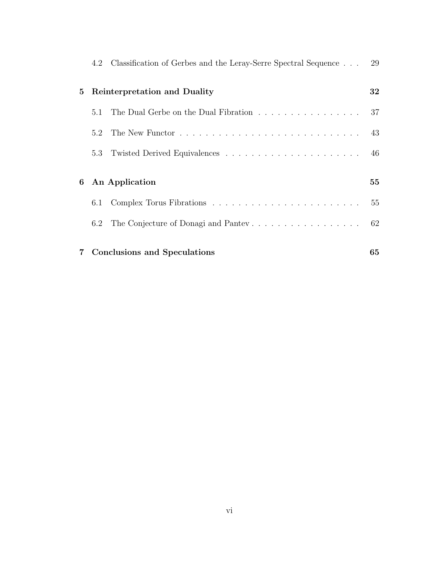| $\mathbf 7$ |     | <b>Conclusions and Speculations</b>                                   | 65 |
|-------------|-----|-----------------------------------------------------------------------|----|
|             | 6.2 |                                                                       | 62 |
|             | 6.1 |                                                                       | 55 |
| 6           |     | An Application                                                        | 55 |
|             | 5.3 |                                                                       | 46 |
|             | 5.2 |                                                                       | 43 |
|             | 5.1 | The Dual Gerbe on the Dual Fibration                                  | 37 |
| 5           |     | <b>Reinterpretation and Duality</b>                                   | 32 |
|             |     | 4.2 Classification of Gerbes and the Leray-Serre Spectral Sequence 29 |    |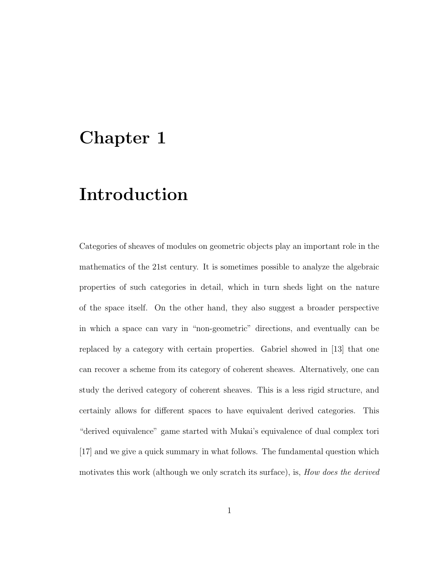### Chapter 1

### Introduction

Categories of sheaves of modules on geometric objects play an important role in the mathematics of the 21st century. It is sometimes possible to analyze the algebraic properties of such categories in detail, which in turn sheds light on the nature of the space itself. On the other hand, they also suggest a broader perspective in which a space can vary in "non-geometric" directions, and eventually can be replaced by a category with certain properties. Gabriel showed in [13] that one can recover a scheme from its category of coherent sheaves. Alternatively, one can study the derived category of coherent sheaves. This is a less rigid structure, and certainly allows for different spaces to have equivalent derived categories. This "derived equivalence" game started with Mukai's equivalence of dual complex tori [17] and we give a quick summary in what follows. The fundamental question which motivates this work (although we only scratch its surface), is, *How does the derived*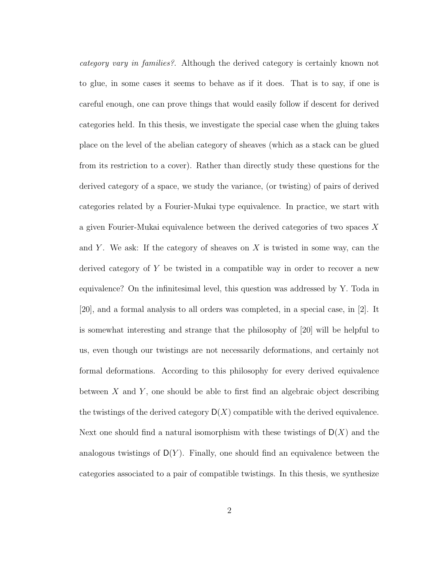category vary in families?. Although the derived category is certainly known not to glue, in some cases it seems to behave as if it does. That is to say, if one is careful enough, one can prove things that would easily follow if descent for derived categories held. In this thesis, we investigate the special case when the gluing takes place on the level of the abelian category of sheaves (which as a stack can be glued from its restriction to a cover). Rather than directly study these questions for the derived category of a space, we study the variance, (or twisting) of pairs of derived categories related by a Fourier-Mukai type equivalence. In practice, we start with a given Fourier-Mukai equivalence between the derived categories of two spaces X and Y. We ask: If the category of sheaves on X is twisted in some way, can the derived category of Y be twisted in a compatible way in order to recover a new equivalence? On the infinitesimal level, this question was addressed by Y. Toda in [20], and a formal analysis to all orders was completed, in a special case, in [2]. It is somewhat interesting and strange that the philosophy of [20] will be helpful to us, even though our twistings are not necessarily deformations, and certainly not formal deformations. According to this philosophy for every derived equivalence between  $X$  and  $Y$ , one should be able to first find an algebraic object describing the twistings of the derived category  $D(X)$  compatible with the derived equivalence. Next one should find a natural isomorphism with these twistings of  $D(X)$  and the analogous twistings of  $D(Y)$ . Finally, one should find an equivalence between the categories associated to a pair of compatible twistings. In this thesis, we synthesize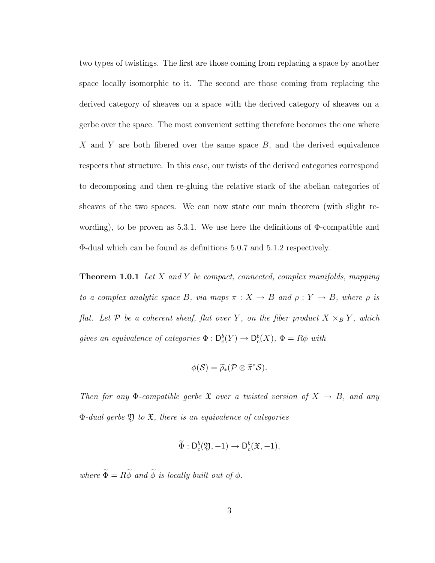two types of twistings. The first are those coming from replacing a space by another space locally isomorphic to it. The second are those coming from replacing the derived category of sheaves on a space with the derived category of sheaves on a gerbe over the space. The most convenient setting therefore becomes the one where X and Y are both fibered over the same space  $B$ , and the derived equivalence respects that structure. In this case, our twists of the derived categories correspond to decomposing and then re-gluing the relative stack of the abelian categories of sheaves of the two spaces. We can now state our main theorem (with slight rewording), to be proven as 5.3.1. We use here the definitions of  $\Phi$ -compatible and Φ-dual which can be found as definitions 5.0.7 and 5.1.2 respectively.

**Theorem 1.0.1** Let  $X$  and  $Y$  be compact, connected, complex manifolds, mapping to a complex analytic space B, via maps  $\pi : X \to B$  and  $\rho : Y \to B$ , where  $\rho$  is flat. Let  $P$  be a coherent sheaf, flat over Y, on the fiber product  $X \times_B Y$ , which gives an equivalence of categories  $\Phi: D_c^b(Y) \to D_c^b(X)$ ,  $\Phi = R\phi$  with

$$
\phi(\mathcal{S})=\widetilde{\rho}_*(\mathcal{P}\otimes \widetilde{\pi}^*\mathcal{S}).
$$

Then for any  $\Phi$ -compatible gerbe  $\mathfrak X$  over a twisted version of  $X \to B$ , and any  $\Phi$ -dual gerbe  $\mathfrak Y$  to  $\mathfrak X$ , there is an equivalence of categories

$$
\widetilde{\Phi}: \mathsf{D}_{c}^{b}(\mathfrak{Y},-1) \to \mathsf{D}_{c}^{b}(\mathfrak{X},-1),
$$

where  $\widetilde{\Phi} = R\widetilde{\phi}$  and  $\widetilde{\phi}$  is locally built out of  $\phi$ .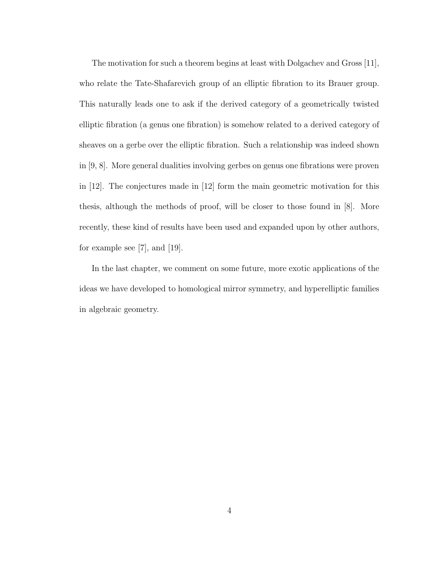The motivation for such a theorem begins at least with Dolgachev and Gross [11], who relate the Tate-Shafarevich group of an elliptic fibration to its Brauer group. This naturally leads one to ask if the derived category of a geometrically twisted elliptic fibration (a genus one fibration) is somehow related to a derived category of sheaves on a gerbe over the elliptic fibration. Such a relationship was indeed shown in [9, 8]. More general dualities involving gerbes on genus one fibrations were proven in [12]. The conjectures made in [12] form the main geometric motivation for this thesis, although the methods of proof, will be closer to those found in [8]. More recently, these kind of results have been used and expanded upon by other authors, for example see [7], and [19].

In the last chapter, we comment on some future, more exotic applications of the ideas we have developed to homological mirror symmetry, and hyperelliptic families in algebraic geometry.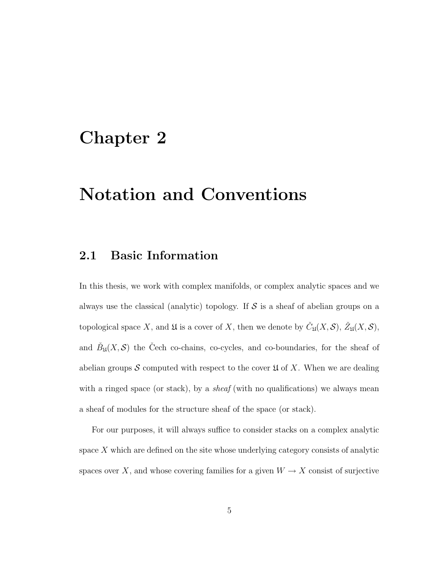### Chapter 2

### Notation and Conventions

#### 2.1 Basic Information

In this thesis, we work with complex manifolds, or complex analytic spaces and we always use the classical (analytic) topology. If  $\mathcal S$  is a sheaf of abelian groups on a topological space X, and  $\mathfrak U$  is a cover of X, then we denote by  $\check C_{\mathfrak U}(X,\mathcal S)$ ,  $\check Z_{\mathfrak U}(X,\mathcal S)$ , and  $\check{B}_{\mathfrak{U}}(X,\mathcal{S})$  the Čech co-chains, co-cycles, and co-boundaries, for the sheaf of abelian groups S computed with respect to the cover  $\mathfrak U$  of X. When we are dealing with a ringed space (or stack), by a *sheaf* (with no qualifications) we always mean a sheaf of modules for the structure sheaf of the space (or stack).

For our purposes, it will always suffice to consider stacks on a complex analytic space  $X$  which are defined on the site whose underlying category consists of analytic spaces over X, and whose covering families for a given  $W \to X$  consist of surjective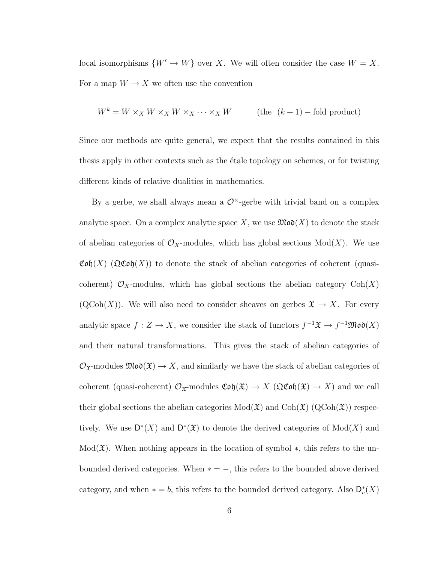local isomorphisms  $\{W' \to W\}$  over X. We will often consider the case  $W = X$ . For a map  $W\to X$  we often use the convention

$$
W^k = W \times_X W \times_X W \times_X \cdots \times_X W \qquad \text{(the } (k+1) - \text{fold product)}
$$

Since our methods are quite general, we expect that the results contained in this thesis apply in other contexts such as the etale topology on schemes, or for twisting different kinds of relative dualities in mathematics.

By a gerbe, we shall always mean a  $\mathcal{O}^{\times}$ -gerbe with trivial band on a complex analytic space. On a complex analytic space X, we use  $\mathfrak{Mod}(X)$  to denote the stack of abelian categories of  $\mathcal{O}_X$ -modules, which has global sections Mod $(X)$ . We use  $\mathfrak{Coh}(X)$  ( $\mathfrak{QCoh}(X)$ ) to denote the stack of abelian categories of coherent (quasicoherent)  $\mathcal{O}_X$ -modules, which has global sections the abelian category Coh(X) (QCoh(X)). We will also need to consider sheaves on gerbes  $\mathfrak{X} \to X$ . For every analytic space  $f: Z \to X$ , we consider the stack of functors  $f^{-1}x \to f^{-1} \mathfrak{Mod}(X)$ and their natural transformations. This gives the stack of abelian categories of  $\mathcal{O}_{\mathfrak{X}}$ -modules  $\mathfrak{Mod}(\mathfrak{X}) \to X$ , and similarly we have the stack of abelian categories of coherent (quasi-coherent)  $\mathcal{O}_{\mathfrak{X}}$ -modules  $\mathfrak{Coh}(\mathfrak{X}) \to X$  ( $\mathfrak{QCoh}(\mathfrak{X}) \to X$ ) and we call their global sections the abelian categories  $Mod(\mathfrak{X})$  and  $Coh(\mathfrak{X})$  (QCoh( $\mathfrak{X})$ ) respectively. We use  $D^*(X)$  and  $D^*(\mathfrak{X})$  to denote the derived categories of  $Mod(X)$  and Mod( $\mathfrak{X}$ ). When nothing appears in the location of symbol  $*$ , this refers to the unbounded derived categories. When  $* = -$ , this refers to the bounded above derived category, and when  $* = b$ , this refers to the bounded derived category. Also  $\mathsf{D}_{c}^{*}(X)$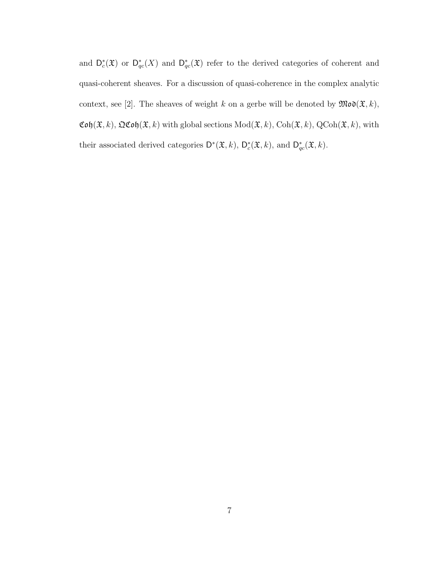and  $D_c^*(\mathfrak{X})$  or  $D_{qc}^*(X)$  and  $D_{qc}^*(\mathfrak{X})$  refer to the derived categories of coherent and quasi-coherent sheaves. For a discussion of quasi-coherence in the complex analytic context, see [2]. The sheaves of weight k on a gerbe will be denoted by  $\mathfrak{Mod}(\mathfrak{X}, k)$ ,  $\mathfrak{Coh}(\mathfrak{X},k), \mathfrak{QCoh}(\mathfrak{X},k)$  with global sections  $\text{Mod}(\mathfrak{X},k), \text{Coh}(\mathfrak{X},k), \text{QCoh}(\mathfrak{X},k)$ , with their associated derived categories  $D^*(\mathfrak{X}, k)$ ,  $D_c^*(\mathfrak{X}, k)$ , and  $D_{qc}^*(\mathfrak{X}, k)$ .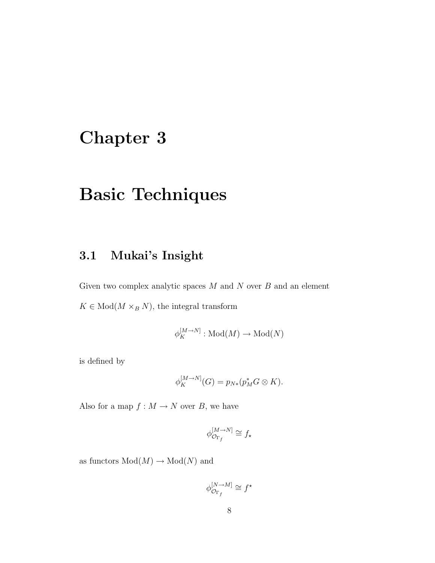### Chapter 3

### Basic Techniques

#### 3.1 Mukai's Insight

Given two complex analytic spaces  $M$  and  $N$  over  $B$  and an element  $K \in Mod(M \times_B N)$ , the integral transform

$$
\phi_K^{[M \to N]} : \text{Mod}(M) \to \text{Mod}(N)
$$

is defined by

$$
\phi_K^{[M \to N]}(G) = p_{N*}(p_M^* G \otimes K).
$$

Also for a map  $f : M \to N$  over B, we have

$$
\phi_{\mathcal{O}_{\Gamma_f}}^{[M\to N]}\cong f_\star
$$

as functors  $Mod(M) \to Mod(N)$  and

$$
\phi^{[N\to M]}_{{\mathcal O}_{\Gamma_f}}\cong f^\star
$$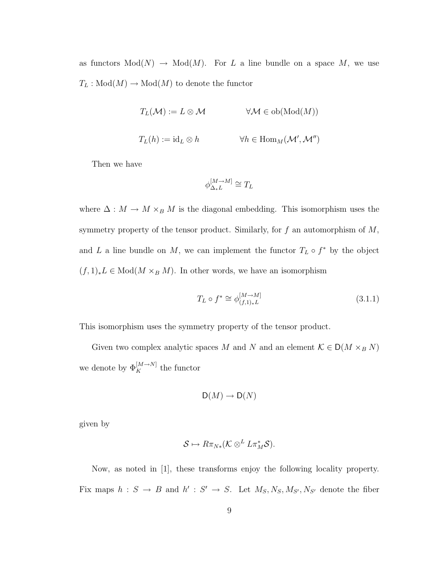as functors  $Mod(N) \rightarrow Mod(M)$ . For L a line bundle on a space M, we use  $T_L: Mod(M) \to Mod(M)$  to denote the functor

$$
T_L(\mathcal{M}) := L \otimes \mathcal{M} \qquad \forall \mathcal{M} \in ob(\text{Mod}(M))
$$

$$
T_L(h) := \mathrm{id}_L \otimes h \qquad \qquad \forall h \in \mathrm{Hom}_M(\mathcal{M}', \mathcal{M}'')
$$

Then we have

$$
\phi_{\Delta_*L}^{[M\to M]}\cong T_L
$$

where  $\Delta: M \to M \times_B M$  is the diagonal embedding. This isomorphism uses the symmetry property of the tensor product. Similarly, for  $f$  an automorphism of  $M$ , and L a line bundle on M, we can implement the functor  $T_L \circ f^*$  by the object  $(f, 1)_*L \in Mod(M \times_B M)$ . In other words, we have an isomorphism

$$
T_L \circ f^* \cong \phi_{(f,1)_*L}^{[M \to M]} \tag{3.1.1}
$$

This isomorphism uses the symmetry property of the tensor product.

Given two complex analytic spaces  $M$  and  $N$  and an element  $\mathcal{K}\in\mathsf{D}(M\times_B N)$ we denote by  $\Phi_K^{[M \to N]}$  the functor

$$
\mathsf{D}(M) \to \mathsf{D}(N)
$$

given by

$$
\mathcal{S} \mapsto R\pi_{N*}(\mathcal{K} \otimes^L L\pi_M^*\mathcal{S}).
$$

Now, as noted in [1], these transforms enjoy the following locality property. Fix maps  $h: S \to B$  and  $h': S' \to S$ . Let  $M_S, N_S, M_{S'}$ ,  $N_{S'}$  denote the fiber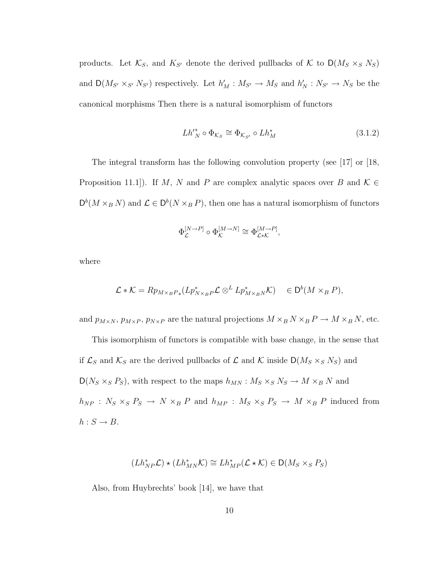products. Let  $\mathcal{K}_S$ , and  $K_{S'}$  denote the derived pullbacks of  $\mathcal{K}$  to  $D(M_S \times_S N_S)$ and  $\mathsf{D}(M_{S'} \times_{S'} N_{S'})$  respectively. Let  $h'_M : M_{S'} \to M_S$  and  $h'_N : N_{S'} \to N_S$  be the canonical morphisms Then there is a natural isomorphism of functors

$$
Lh'_{N} \circ \Phi_{\mathcal{K}_{S}} \cong \Phi_{\mathcal{K}_{S'}} \circ Lh_{M}^{*}
$$
 (3.1.2)

The integral transform has the following convolution property (see [17] or [18, Proposition 11.1]). If M, N and P are complex analytic spaces over B and  $\mathcal{K} \in$  $\mathsf{D}^b(M\times_B N)$  and  $\mathcal{L}\in\mathsf{D}^b(N\times_B P)$ , then one has a natural isomorphism of functors

$$
\Phi_{\mathcal{L}}^{[N \to P]} \circ \Phi_{\mathcal{K}}^{[M \to N]} \cong \Phi_{\mathcal{L} * \mathcal{K}}^{[M \to P]},
$$

where

$$
\mathcal{L} * \mathcal{K} = R p_{M \times_B P} (L p_{N \times_B P}^* \mathcal{L} \otimes^L L p_{M \times_B N}^* \mathcal{K}) \in D^b(M \times_B P),
$$

and  $p_{M\times N}, p_{M\times P}, p_{N\times P}$  are the natural projections  $M\times_B N\times_B P\to M\times_B N$ , etc.

This isomorphism of functors is compatible with base change, in the sense that if  $\mathcal{L}_S$  and  $\mathcal{K}_S$  are the derived pullbacks of  $\mathcal{L}$  and  $\mathcal{K}$  inside  $D(M_S \times_S N_S)$  and  $D(N_S \times_S P_S)$ , with respect to the maps  $h_{MN}: M_S \times_S N_S \to M \times_B N$  and  $h_{NP}$ :  $N_S \times_S P_S \rightarrow N \times_B P$  and  $h_{MP}$ :  $M_S \times_S P_S \rightarrow M \times_B P$  induced from  $h: S \to B$ .

$$
(Lh_{NP}^*\mathcal{L}) \star (Lh_{MN}^*\mathcal{K}) \cong Lh_{MP}^*(\mathcal{L} \star \mathcal{K}) \in D(M_S \times_S P_S)
$$

Also, from Huybrechts' book [14], we have that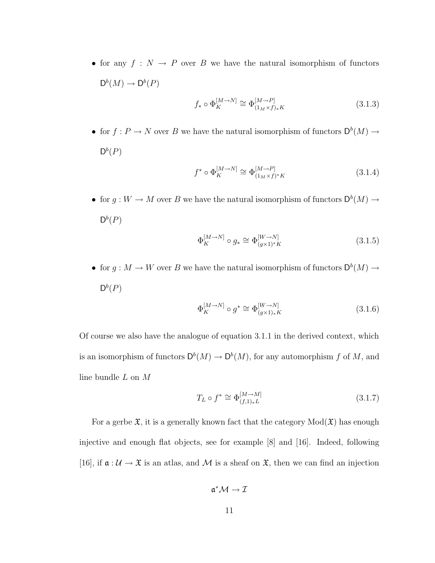• for any  $f: N \to P$  over B we have the natural isomorphism of functors  $\mathsf{D}^b(M) \to \mathsf{D}^b(P)$ 

$$
f_* \circ \Phi_K^{[M \to N]} \cong \Phi_{(1_M \times f)_*K}^{[M \to P]} \tag{3.1.3}
$$

• for  $f: P \to N$  over B we have the natural isomorphism of functors  $\mathsf{D}^b(M) \to$  $\mathsf{D}^b(P)$ 

$$
f^* \circ \Phi_K^{[M \to N]} \cong \Phi_{(1_M \times f)^*K}^{[M \to P]} \tag{3.1.4}
$$

• for  $g: W \to M$  over B we have the natural isomorphism of functors  $\mathsf{D}^b(M) \to$  $\mathsf{D}^b(P)$ 

$$
\Phi_K^{[M \to N]} \circ g_* \cong \Phi_{(g \times 1)^*K}^{[W \to N]} \tag{3.1.5}
$$

• for  $g: M \to W$  over B we have the natural isomorphism of functors  $\mathsf{D}^b(M) \to$  $\mathsf{D}^b(P)$ 

$$
\Phi_K^{[M \to N]} \circ g^* \cong \Phi_{(g \times 1)_*K}^{[W \to N]} \tag{3.1.6}
$$

Of course we also have the analogue of equation 3.1.1 in the derived context, which is an isomorphism of functors  $D^{b}(M) \to D^{b}(M)$ , for any automorphism f of M, and line bundle  $L$  on  $M$ 

$$
T_L \circ f^* \cong \Phi^{[M \to M]}_{(f,1)_*L} \tag{3.1.7}
$$

For a gerbe  $\mathfrak{X}$ , it is a generally known fact that the category  $Mod(\mathfrak{X})$  has enough injective and enough flat objects, see for example [8] and [16]. Indeed, following [16], if  $\mathfrak{a}: \mathcal{U} \to \mathfrak{X}$  is an atlas, and  $\mathcal{M}$  is a sheaf on  $\mathfrak{X}$ , then we can find an injection

$$
\mathfrak{a}^*\mathcal{M}\to \mathcal{I}
$$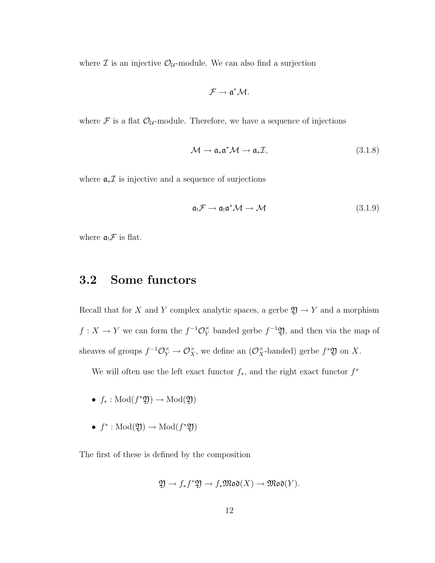where  $\mathcal I$  is an injective  $\mathcal O_{\mathcal U}$ -module. We can also find a surjection

$$
\mathcal{F}\to \mathfrak{a}^*\mathcal{M}.
$$

where  $\mathcal F$  is a flat  $\mathcal O_{\mathcal U}$ -module. Therefore, we have a sequence of injections

$$
\mathcal{M} \to \mathfrak{a}_*\mathfrak{a}^*\mathcal{M} \to \mathfrak{a}_*\mathcal{I},\tag{3.1.8}
$$

where  $a_*\mathcal{I}$  is injective and a sequence of surjections

$$
\mathfrak{a}_! \mathcal{F} \to \mathfrak{a}_! \mathfrak{a}^* \mathcal{M} \to \mathcal{M} \tag{3.1.9}
$$

where  $a_1 \mathcal{F}$  is flat.

#### 3.2 Some functors

Recall that for X and Y complex analytic spaces, a gerbe  $\mathfrak{Y} \to Y$  and a morphism  $f: X \to Y$  we can form the  $f^{-1}\mathcal{O}_Y^{\times}$  $Y<sub>Y</sub><sup>\times</sup>$  banded gerbe  $f<sup>-1</sup>Y$ , and then via the map of sheaves of groups  $f^{-1}\mathcal{O}_Y^{\times} \to \mathcal{O}_X^{\times}$ , we define an  $(\mathcal{O}_X^{\times}$ -banded) gerbe  $f^*\mathfrak{Y}$  on X.

We will often use the left exact functor  $f_*$ , and the right exact functor  $f^*$ 

- $f_* : Mod(f^*\mathfrak{Y}) \to Mod(\mathfrak{Y})$
- $f^* : Mod(\mathfrak{Y}) \to Mod(f^*\mathfrak{Y})$

The first of these is defined by the composition

$$
\mathfrak{Y} \to f_* f^* \mathfrak{Y} \to f_* \mathfrak{Mod}(X) \to \mathfrak{Mod}(Y).
$$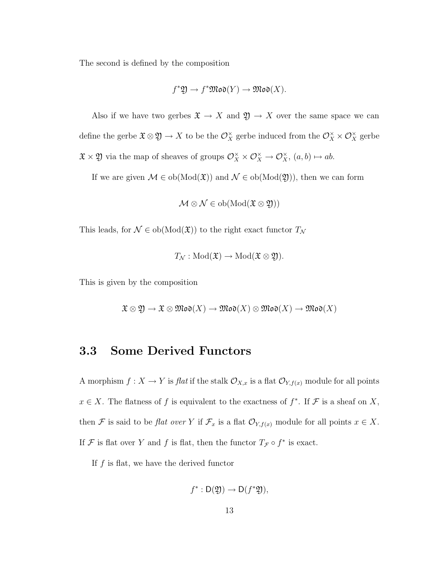The second is defined by the composition

$$
f^*\mathfrak{Y} \to f^*\mathfrak{Mod}(Y) \to \mathfrak{Mod}(X).
$$

Also if we have two gerbes  $\mathfrak{X} \to X$  and  $\mathfrak{Y} \to X$  over the same space we can define the gerbe  $\mathfrak{X}\otimes\mathfrak{Y}\to X$  to be the  $\mathcal{O}_X^{\times}$  gerbe induced from the  $\mathcal{O}_X^{\times}\times\mathcal{O}_X^{\times}$  gerbe  $\mathfrak{X} \times \mathfrak{Y}$  via the map of sheaves of groups  $\mathcal{O}_X^{\times} \times \mathcal{O}_X^{\times} \to \mathcal{O}_X^{\times}$ ,  $(a, b) \mapsto ab$ .

If we are given  $\mathcal{M} \in ob(Mod(\mathfrak{X}))$  and  $\mathcal{N} \in ob(Mod(\mathfrak{Y}))$ , then we can form

$$
\mathcal{M}\otimes\mathcal{N}\in\mathrm{ob}(\mathrm{Mod}(\mathfrak{X}\otimes\mathfrak{Y}))
$$

This leads, for  $\mathcal{N} \in ob(Mod(\mathfrak{X}))$  to the right exact functor  $T_{\mathcal{N}}$ 

$$
T_{\mathcal{N}}: Mod(\mathfrak{X}) \to Mod(\mathfrak{X} \otimes \mathfrak{Y}).
$$

This is given by the composition

$$
\mathfrak{X} \otimes \mathfrak{Y} \to \mathfrak{X} \otimes \mathfrak{Mod}(X) \to \mathfrak{Mod}(X) \otimes \mathfrak{Mod}(X) \to \mathfrak{Mod}(X)
$$

#### 3.3 Some Derived Functors

A morphism  $f: X \to Y$  is flat if the stalk  $\mathcal{O}_{X,x}$  is a flat  $\mathcal{O}_{Y,f(x)}$  module for all points  $x \in X$ . The flatness of f is equivalent to the exactness of  $f^*$ . If F is a sheaf on X, then F is said to be flat over Y if  $\mathcal{F}_x$  is a flat  $\mathcal{O}_{Y,f(x)}$  module for all points  $x \in X$ . If F is flat over Y and f is flat, then the functor  $T_{\mathcal{F}} \circ f^*$  is exact.

If  $f$  is flat, we have the derived functor

$$
f^* : \mathsf{D}(\mathfrak{Y}) \to \mathsf{D}(f^*\mathfrak{Y}),
$$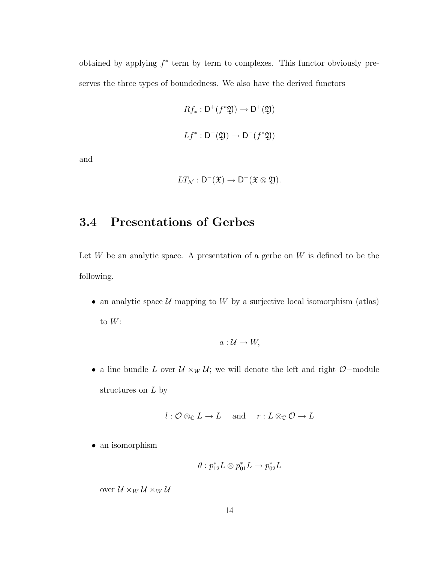obtained by applying  $f^*$  term by term to complexes. This functor obviously preserves the three types of boundedness. We also have the derived functors

$$
Rf_*: D^+(f^*\mathfrak{Y}) \to D^+(\mathfrak{Y})
$$
  

$$
Lf^*: D^-(\mathfrak{Y}) \to D^-(f^*\mathfrak{Y})
$$

and

$$
LT_{\mathcal{N}} : D^{-}(\mathfrak{X}) \to D^{-}(\mathfrak{X} \otimes \mathfrak{Y}).
$$

### 3.4 Presentations of Gerbes

Let  $W$  be an analytic space. A presentation of a gerbe on  $W$  is defined to be the following.

• an analytic space  $U$  mapping to W by a surjective local isomorphism (atlas) to  $W$ :

$$
a:\mathcal{U}\to W,
$$

• a line bundle L over  $\mathcal{U} \times_W \mathcal{U}$ ; we will denote the left and right  $\mathcal{O}-$ module structures on  $L$  by

$$
l: \mathcal{O} \otimes_{\mathbb{C}} L \to L
$$
 and  $r: L \otimes_{\mathbb{C}} \mathcal{O} \to L$ 

• an isomorphism

$$
\theta: p_{12}^* L \otimes p_{01}^* L \to p_{02}^* L
$$

over  $\mathcal{U} \times_W \mathcal{U} \times_W \mathcal{U}$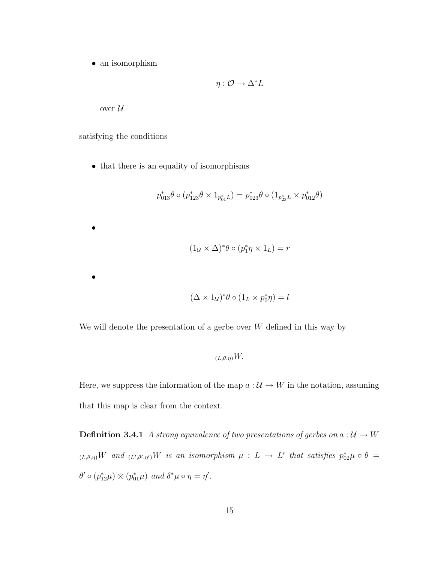• an isomorphism

$$
\eta: \mathcal{O} \to \Delta^* L
$$

over  $\mathcal U$ 

satisfying the conditions

• that there is an equality of isomorphisms

$$
p_{013}^* \theta \circ (p_{123}^* \theta \times 1_{p_{01}^* L}) = p_{023}^* \theta \circ (1_{p_{23}^* L} \times p_{012}^* \theta)
$$
\n
$$
(1_{\mathcal{U}} \times \Delta)^* \theta \circ (p_1^* \eta \times 1_L) = r
$$
\n
$$
(\Delta \times 1_{\mathcal{U}})^* \theta \circ (1_L \times p_0^* \eta) = l
$$

We will denote the presentation of a gerbe over  $W$  defined in this way by

$$
(L,\theta,\eta)W.
$$

Here, we suppress the information of the map  $a:\mathcal{U}\rightarrow W$  in the notation, assuming that this map is clear from the context.

**Definition 3.4.1** A strong equivalence of two presentations of gerbes on  $a: \mathcal{U} \rightarrow W$  $(L, \theta, \eta)$ W and  $(L', \theta', \eta')$ W is an isomorphism  $\mu : L \to L'$  that satisfies  $p_{02}^*\mu \circ \theta =$  $\theta' \circ (p_{12}^* \mu) \otimes (p_{01}^* \mu)$  and  $\delta^* \mu \circ \eta = \eta'$ .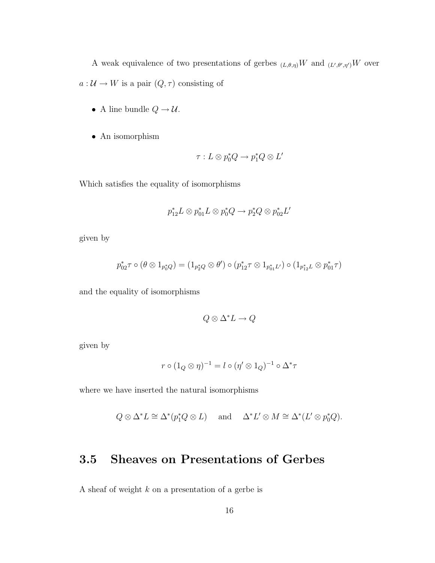A weak equivalence of two presentations of gerbes  $(L, \theta, \eta)$  W and  $(L', \theta', \eta')$  W over  $a:\mathcal{U}\rightarrow W$  is a pair  $(Q,\tau)$  consisting of

- A line bundle  $Q \rightarrow U$ .
- An isomorphism

$$
\tau: L\otimes p_0^*Q\to p_1^*Q\otimes L'
$$

Which satisfies the equality of isomorphisms

$$
p_{12}^*L \otimes p_{01}^*L \otimes p_0^*Q \to p_2^*Q \otimes p_{02}^*L'
$$

given by

$$
p_{02}^* \tau \circ (\theta \otimes 1_{p_0^* Q}) = (1_{p_2^* Q} \otimes \theta') \circ (p_{12}^* \tau \otimes 1_{p_{01}^* L'}) \circ (1_{p_{12}^* L} \otimes p_{01}^* \tau)
$$

and the equality of isomorphisms

$$
Q\otimes \Delta^*L\to Q
$$

given by

$$
r \circ (1_Q \otimes \eta)^{-1} = l \circ (\eta' \otimes 1_Q)^{-1} \circ \Delta^* \tau
$$

where we have inserted the natural isomorphisms

$$
Q \otimes \Delta^* L \cong \Delta^*(p_1^* Q \otimes L)
$$
 and  $\Delta^* L' \otimes M \cong \Delta^*(L' \otimes p_0^* Q).$ 

### 3.5 Sheaves on Presentations of Gerbes

A sheaf of weight  $k$  on a presentation of a gerbe is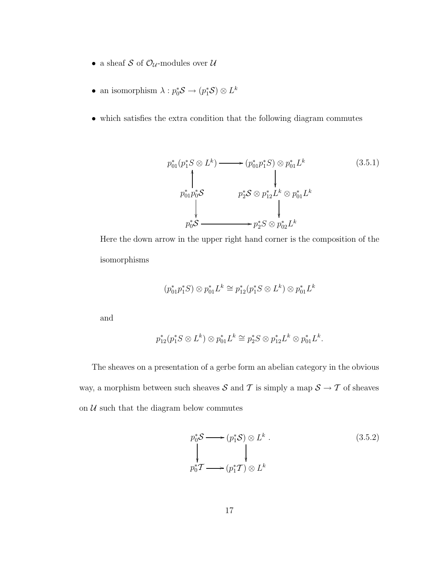- $\bullet\,$  a sheaf  $\mathcal S$  of  $\mathcal O_{\mathcal U}\text{-modules}$  over  $\mathcal U$
- an isomorphism  $\lambda : p_0^* S \to (p_1^* S) \otimes L^k$
- which satisfies the extra condition that the following diagram commutes

$$
p_{01}^*(p_1^* S \otimes L^k) \longrightarrow (p_{01}^* p_1^* S) \otimes p_{01}^* L^k
$$
\n
$$
p_{01}^* p_0^* S \qquad p_2^* S \otimes p_{12}^* L^k \otimes p_{01}^* L^k
$$
\n
$$
\downarrow
$$
\n
$$
p_0^* S \longrightarrow p_2^* S \otimes p_{02}^* L^k
$$
\n
$$
(3.5.1)
$$

Here the down arrow in the upper right hand corner is the composition of the isomorphisms

$$
(p_{01}^* p_1^* S) \otimes p_{01}^* L^k \cong p_{12}^* (p_1^* S \otimes L^k) \otimes p_{01}^* L^k
$$

and

$$
p_{12}^*(p_1^*S \otimes L^k) \otimes p_{01}^*L^k \cong p_2^*S \otimes p_{12}^*L^k \otimes p_{01}^*L^k.
$$

The sheaves on a presentation of a gerbe form an abelian category in the obvious way, a morphism between such sheaves  $S$  and  $T$  is simply a map  $S \to T$  of sheaves on  $\mathcal U$  such that the diagram below commutes

$$
p_0^* \mathcal{S} \longrightarrow (p_1^* \mathcal{S}) \otimes L^k
$$
\n
$$
\downarrow \qquad \qquad (3.5.2)
$$
\n
$$
p_0^* \mathcal{T} \longrightarrow (p_1^* \mathcal{T}) \otimes L^k
$$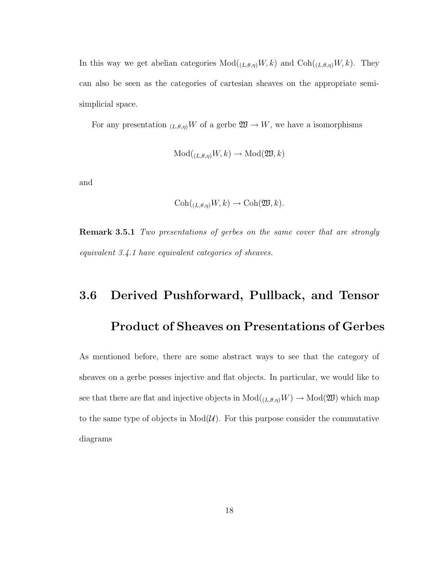In this way we get abelian categories  $Mod(L, \theta, \eta)W, k)$  and  $Coh(L, \theta, \eta)W, k)$ . They can also be seen as the categories of cartesian sheaves on the appropriate semisimplicial space.

For any presentation  $_{(L,\theta,\eta)}W$  of a gerbe  $\mathfrak{W}\to W$ , we have a isomorphisms

$$
\mathrm{Mod}((L,\theta,\eta)W,k) \to \mathrm{Mod}(\mathfrak{W},k)
$$

and

$$
\mathrm{Coh}({_{(L,\theta,\eta)}W},k)\to\mathrm{Coh}(\mathfrak{W},k).
$$

**Remark 3.5.1** Two presentations of gerbes on the same cover that are strongly equivalent 3.4.1 have equivalent categories of sheaves.

# 3.6 Derived Pushforward, Pullback, and Tensor Product of Sheaves on Presentations of Gerbes

As mentioned before, there are some abstract ways to see that the category of sheaves on a gerbe posses injective and flat objects. In particular, we would like to see that there are flat and injective objects in  $Mod(L, \theta, \eta) \rightarrow Mod(\mathfrak{W})$  which map to the same type of objects in  $Mod(U)$ . For this purpose consider the commutative diagrams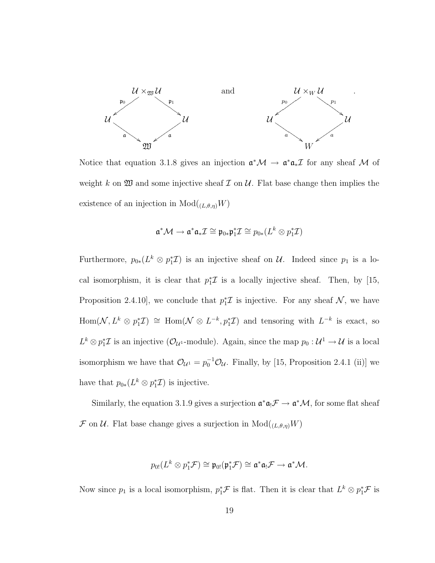

Notice that equation 3.1.8 gives an injection  $\mathfrak{a}^*\mathcal{M} \to \mathfrak{a}^*\mathfrak{a}_*\mathcal{I}$  for any sheaf M of weight k on  $\mathfrak W$  and some injective sheaf  $\mathcal I$  on  $\mathcal U$ . Flat base change then implies the existence of an injection in  $\mathop{\rm Mod}\nolimits(_{(L,\theta,\eta)}W)$ 

$$
\mathfrak{a}^*\mathcal{M}\to \mathfrak{a}^*\mathfrak{a}_*\mathcal{I}\cong \mathfrak{p}_{0*}\mathfrak{p}_1^*\mathcal{I}\cong p_{0*}(L^k\otimes p_1^*\mathcal{I})
$$

Furthermore,  $p_{0*}(L^k \otimes p_1^* \mathcal{I})$  is an injective sheaf on U. Indeed since  $p_1$  is a local isomorphism, it is clear that  $p_1^* \mathcal{I}$  is a locally injective sheaf. Then, by [15, Proposition 2.4.10], we conclude that  $p_1^* \mathcal{I}$  is injective. For any sheaf  $\mathcal{N}$ , we have Hom(N,  $L^k \otimes p_1^* \mathcal{I}$ )  $\cong$  Hom( $\mathcal{N} \otimes L^{-k}$ ,  $p_1^* \mathcal{I}$ ) and tensoring with  $L^{-k}$  is exact, so  $L^k \otimes p_1^* \mathcal{I}$  is an injective  $(\mathcal{O}_{\mathcal{U}^1}$ -module). Again, since the map  $p_0: \mathcal{U}^1 \to \mathcal{U}$  is a local isomorphism we have that  $\mathcal{O}_{\mathcal{U}^1} = p_0^{-1} \mathcal{O}_{\mathcal{U}}$ . Finally, by [15, Proposition 2.4.1 (ii)] we have that  $p_{0*}(L^k \otimes p_1^* \mathcal{I})$  is injective.

Similarly, the equation 3.1.9 gives a surjection  $\mathfrak{a}^*\mathfrak{a}_! \mathcal{F} \to \mathfrak{a}^* \mathcal{M}$ , for some flat sheaf  $\mathcal F$  on  $\mathcal U$ . Flat base change gives a surjection in  $\mathrm{Mod}((L,\theta,\eta)W)$ 

$$
p_{0!}(L^k\otimes p_1^*\mathcal{F})\cong \mathfrak{p}_{0!}(\mathfrak{p}_1^*\mathcal{F})\cong \mathfrak{a}^*\mathfrak{a}_!\mathcal{F}\to \mathfrak{a}^*\mathcal{M}.
$$

Now since  $p_1$  is a local isomorphism,  $p_1^*\mathcal{F}$  is flat. Then it is clear that  $L^k \otimes p_1^*\mathcal{F}$  is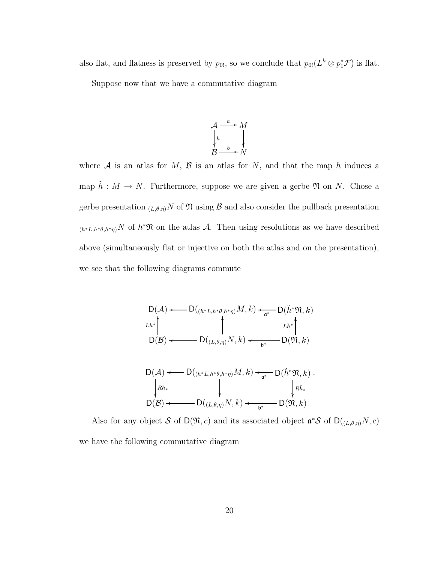also flat, and flatness is preserved by  $p_{0!}$ , so we conclude that  $p_{0!}(L^k \otimes p_1^* \mathcal{F})$  is flat.

Suppose now that we have a commutative diagram

$$
\begin{array}{ccc}\nA & \xrightarrow{a} & M \\
\downarrow{h} & & \downarrow \\
B & \xrightarrow{b} & N\n\end{array}
$$

where  $A$  is an atlas for  $M$ ,  $B$  is an atlas for  $N$ , and that the map h induces a map  $\tilde{h}: M \to N$ . Furthermore, suppose we are given a gerbe  $\mathfrak N$  on N. Chose a gerbe presentation  $(L, \theta, \eta)$  of  $\mathfrak{N}$  using  $\mathcal{B}$  and also consider the pullback presentation  $(h * L, h * \theta, h * \eta)$  of  $h * \mathfrak{N}$  on the atlas A. Then using resolutions as we have described above (simultaneously flat or injective on both the atlas and on the presentation), we see that the following diagrams commute

$$
D(\mathcal{A}) \leftarrow D(_{(h * L, h * \theta, h * \eta)} M, k) \leftarrow_{\mathfrak{a}^*} D(\tilde{h}^* \mathfrak{N}, k)
$$
  
\n
$$
Lh^* \downarrow \qquad L\tilde{h}^* \downarrow \qquad L\tilde{h}^* \downarrow
$$
  
\n
$$
D(\mathcal{B}) \leftarrow D(_{(L, \theta, \eta)} N, k) \leftarrow_{\mathfrak{b}^*} D(\mathfrak{N}, k)
$$
  
\n
$$
D(\mathcal{A}) \leftarrow D(_{(h * L, h * \theta, h * \eta)} M, k) \leftarrow_{\mathfrak{a}^*} D(\tilde{h}^* \mathfrak{N}, k) .
$$
  
\n
$$
\downarrow_{Rh_*} \qquad \qquad \downarrow_{\mathfrak{R}\tilde{h}_*}
$$
  
\n
$$
D(\mathcal{B}) \leftarrow D(_{(L, \theta, \eta)} N, k) \leftarrow_{\mathfrak{b}^*} D(\mathfrak{N}, k)
$$

Also for any object S of D( $\mathfrak{N}, c$ ) and its associated object  $\mathfrak{a}^*\mathcal{S}$  of D( $_{(L,\theta,\eta)}N, c$ ) we have the following commutative diagram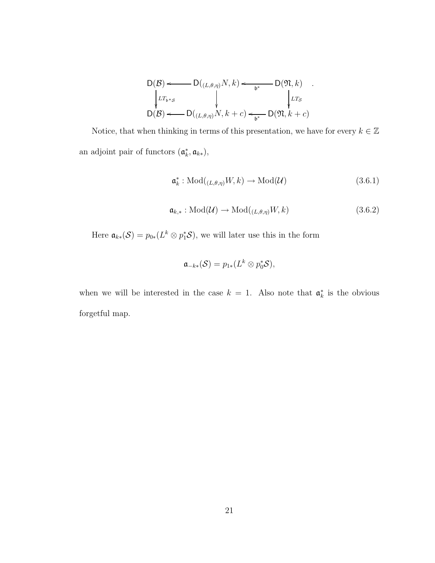$$
D(\mathcal{B}) \leftarrow D((L,\theta,\eta)N, k) \leftarrow D(\mathfrak{N},k)
$$
  
\n
$$
L_{\mathcal{I}_{b} \star \mathcal{S}} \downarrow
$$
  
\n
$$
D(\mathcal{B}) \leftarrow D((L,\theta,\eta)N, k+c) \leftarrow D(\mathfrak{N},k+c)
$$

Notice, that when thinking in terms of this presentation, we have for every  $k\in\mathbb{Z}$ an adjoint pair of functors  $(\mathfrak{a}_k^*, \mathfrak{a}_{k*}),$ 

$$
\mathfrak{a}_k^* : \mathrm{Mod}(\underline{\mathfrak{c}}_{L,\theta,\eta})W, k) \to \mathrm{Mod}(\mathcal{U}) \tag{3.6.1}
$$

$$
\mathfrak{a}_{k,*}: \text{Mod}(\mathcal{U}) \to \text{Mod}(_{(L,\theta,\eta)}W,k) \tag{3.6.2}
$$

Here  $\mathfrak{a}_{k*}(\mathcal{S}) = p_{0*}(L^k \otimes p_1^*\mathcal{S})$ , we will later use this in the form

$$
\mathfrak{a}_{-k*}(\mathcal{S})=p_{1*}(L^k\otimes p_0^*\mathcal{S}),
$$

when we will be interested in the case  $k = 1$ . Also note that  $\mathfrak{a}_k^*$  is the obvious forgetful map.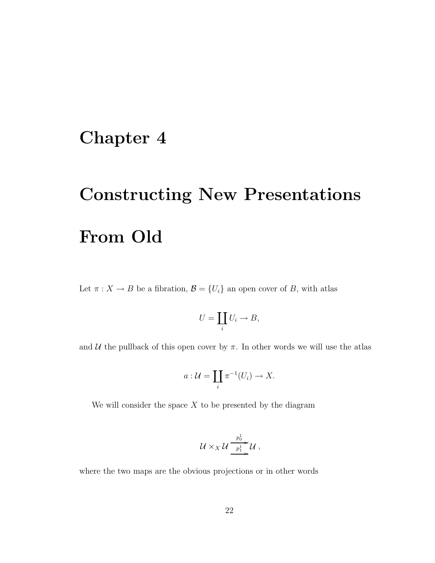### Chapter 4

# Constructing New Presentations From Old

Let  $\pi: X \to B$  be a fibration,  $\mathcal{B} = \{U_i\}$  an open cover of B, with atlas

$$
U=\coprod_i U_i\to B,
$$

and U the pullback of this open cover by  $\pi$ . In other words we will use the atlas

$$
a: \mathcal{U} = \coprod_i \pi^{-1}(U_i) \to X.
$$

We will consider the space  $X$  to be presented by the diagram

$$
\mathcal{U}\times_X\mathcal{U}\xrightarrow{\begin{smallmatrix}p_0^1\\p_1^1\end{smallmatrix}}\mathcal{U},
$$

where the two maps are the obvious projections or in other words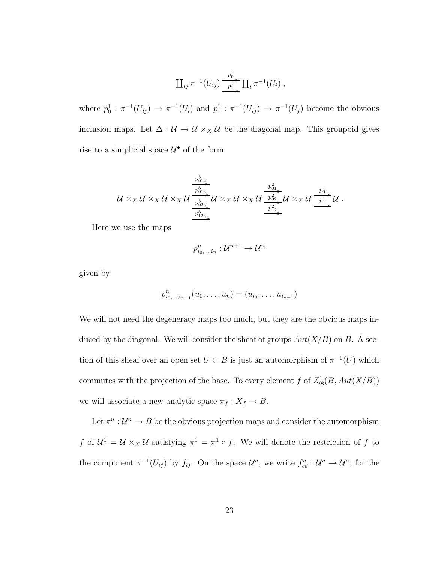$$
\coprod_{ij} \pi^{-1}(U_{ij}) \frac{p_0^1}{p_1^1} \coprod_i \pi^{-1}(U_i) ,
$$

where  $p_0^1 : \pi^{-1}(U_{ij}) \to \pi^{-1}(U_i)$  and  $p_1^1 : \pi^{-1}(U_{ij}) \to \pi^{-1}(U_j)$  become the obvious inclusion maps. Let  $\Delta : \mathcal{U} \to \mathcal{U} \times_X \mathcal{U}$  be the diagonal map. This groupoid gives rise to a simplicial space  $\mathcal{U}^{\bullet}$  of the form

$$
U \times_X U \times_X U \times_X U \xrightarrow{\frac{p_{012}^3}{p_{013}^3}} U \times_X U \times_X U \xrightarrow{\frac{p_{01}^2}{p_{02}^2}} U \times_X U \xrightarrow{\frac{p_0^1}{p_1^2}} U.
$$

Here we use the maps

$$
p_{i_0,\dots,i_n}^n: \mathcal{U}^{n+1} \to \mathcal{U}^n
$$

given by

$$
p_{i_0,\dots,i_{n-1}}^n(u_0,\dots,u_n)=(u_{i_0},\dots,u_{i_{n-1}})
$$

We will not need the degeneracy maps too much, but they are the obvious maps induced by the diagonal. We will consider the sheaf of groups  $Aut(X/B)$  on B. A section of this sheaf over an open set  $U \subset B$  is just an automorphism of  $\pi^{-1}(U)$  which commutes with the projection of the base. To every element f of  $\check{Z}^1_{\mathfrak{B}}(B, Aut(X/B))$ we will associate a new analytic space  $\pi_f : X_f \to B$ .

Let  $\pi^n: \mathcal{U}^n \to B$  be the obvious projection maps and consider the automorphism f of  $\mathcal{U}^1 = \mathcal{U} \times_X \mathcal{U}$  satisfying  $\pi^1 = \pi^1 \circ f$ . We will denote the restriction of f to the component  $\pi^{-1}(U_{ij})$  by  $f_{ij}$ . On the space  $\mathcal{U}^a$ , we write  $f_{cd}^a: \mathcal{U}^a \to \mathcal{U}^a$ , for the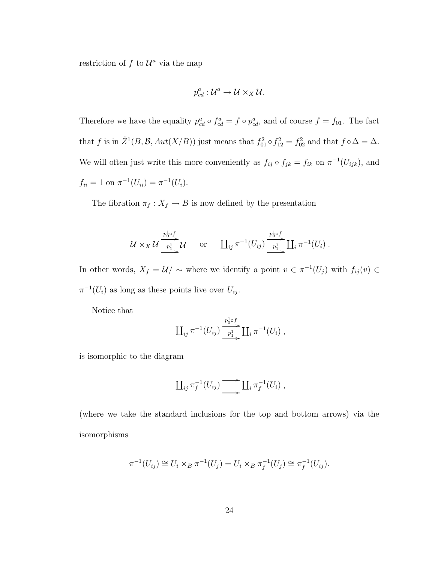restriction of  $f$  to  $\mathcal{U}^a$  via the map

$$
p_{cd}^a: \mathcal{U}^a \to \mathcal{U} \times_X \mathcal{U}.
$$

Therefore we have the equality  $p_{cd}^a \circ f_{cd}^a = f \circ p_{cd}^a$ , and of course  $f = f_{01}$ . The fact that f is in  $\check{Z}^1(B, \mathcal{B}, Aut(X/B))$  just means that  $f_{01}^2 \circ f_{12}^2 = f_{02}^2$  and that  $f \circ \Delta = \Delta$ . We will often just write this more conveniently as  $f_{ij} \circ f_{jk} = f_{ik}$  on  $\pi^{-1}(U_{ijk})$ , and  $f_{ii} = 1$  on  $\pi^{-1}(U_{ii}) = \pi^{-1}(U_i)$ .

The fibration  $\pi_f : X_f \to B$  is now defined by the presentation

$$
\mathcal{U} \times_X \mathcal{U} \xrightarrow[p_1^1]{p_0^1 \circ f} \mathcal{U} \quad \text{or} \quad \coprod_{ij} \pi^{-1}(U_{ij}) \xrightarrow[p_1^1]{p_0^1 \circ f} \coprod_i \pi^{-1}(U_i) .
$$

In other words,  $X_f = \mathcal{U}/\sim$  where we identify a point  $v \in \pi^{-1}(U_j)$  with  $f_{ij}(v) \in$  $\pi^{-1}(U_i)$  as long as these points live over  $U_{ij}$ .

Notice that

$$
\coprod_{ij} \pi^{-1}(U_{ij}) \frac{p_0^{1} \circ f}{p_1^1} \coprod_i \pi^{-1}(U_i) ,
$$

is isomorphic to the diagram

$$
\coprod_{ij} \pi_f^{-1}(U_{ij}) \longrightarrow \coprod_i \pi_f^{-1}(U_i) ,
$$

(where we take the standard inclusions for the top and bottom arrows) via the isomorphisms

$$
\pi^{-1}(U_{ij}) \cong U_i \times_B \pi^{-1}(U_j) = U_i \times_B \pi_f^{-1}(U_j) \cong \pi_f^{-1}(U_{ij}).
$$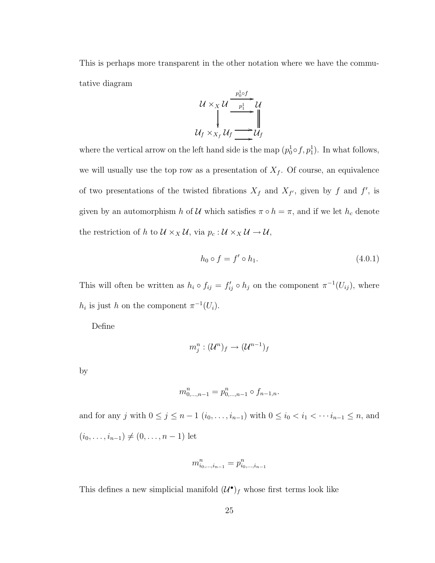This is perhaps more transparent in the other notation where we have the commutative diagram

$$
\mathcal{U} \times_X \mathcal{U} \xrightarrow[p_0^1 \circ f]{p_0^1 \circ f} \mathcal{U}
$$
  

$$
\downarrow \qquad \qquad \downarrow \qquad \qquad \downarrow
$$
  

$$
\mathcal{U}_f \times_{X_f} \mathcal{U}_f \xrightarrow{\longrightarrow} \mathcal{U}_f
$$

where the vertical arrow on the left hand side is the map  $(p_0^1 \circ f, p_1^1)$ . In what follows, we will usually use the top row as a presentation of  $X_f$ . Of course, an equivalence of two presentations of the twisted fibrations  $X_f$  and  $X_{f'}$ , given by f and f', is given by an automorphism h of U which satisfies  $\pi \circ h = \pi$ , and if we let  $h_c$  denote the restriction of h to  $\mathcal{U} \times_X \mathcal{U}$ , via  $p_c : \mathcal{U} \times_X \mathcal{U} \to \mathcal{U}$ ,

$$
h_0 \circ f = f' \circ h_1. \tag{4.0.1}
$$

This will often be written as  $h_i \circ f_{ij} = f'_{ij} \circ h_j$  on the component  $\pi^{-1}(U_{ij})$ , where  $h_i$  is just h on the component  $\pi^{-1}(U_i)$ .

Define

$$
m^n_j: (\mathcal{U}^n)_f \to (\mathcal{U}^{n-1})_f
$$

by

$$
m_{0,\dots,n-1}^n = p_{0,\dots,n-1}^n \circ f_{n-1,n}.
$$

and for any j with  $0 \le j \le n - 1$   $(i_0, ..., i_{n-1})$  with  $0 \le i_0 < i_1 < \cdots i_{n-1} \le n$ , and  $(i_0, \ldots, i_{n-1}) \neq (0, \ldots, n-1)$  let

$$
m_{i_0,\dots,i_{n-1}}^n = p_{i_0,\dots,i_{n-1}}^n
$$

This defines a new simplicial manifold  $(U^{\bullet})_f$  whose first terms look like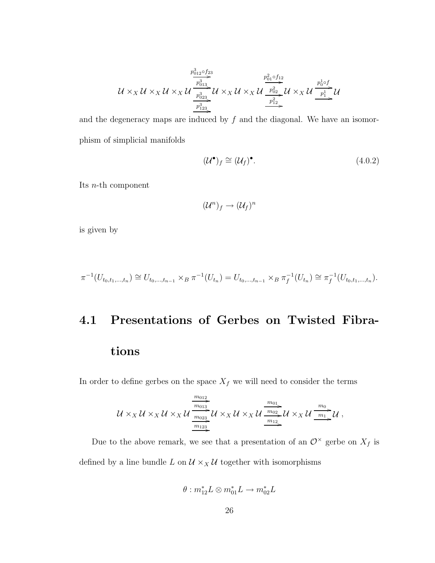$$
u \times_{X} u \times_{X} u \times_{X} u \xrightarrow[p_{013}^{3}]{p_{012}^{3} \circ f_{23}}_{p_{023}^{3}} u \times_{X} u \times_{X} u \xrightarrow[p_{02}^{2}]{p_{01}^{2} \circ f_{12}}_{p_{12}^{2}} u \times_{X} u \xrightarrow[p_{12}^{2}]{p_{12}^{1}} u
$$

and the degeneracy maps are induced by  $f$  and the diagonal. We have an isomorphism of simplicial manifolds

$$
(\mathcal{U}^{\bullet})_f \cong (\mathcal{U}_f)^{\bullet}.
$$
\n(4.0.2)

Its n-th component

$$
(\mathcal{U}^n)_f \to (\mathcal{U}_f)^n
$$

is given by

$$
\pi^{-1}(U_{t_0,t_1,\ldots,t_n}) \cong U_{t_0,\ldots,t_{n-1}} \times_B \pi^{-1}(U_{t_n}) = U_{t_0,\ldots,t_{n-1}} \times_B \pi_f^{-1}(U_{t_n}) \cong \pi_f^{-1}(U_{t_0,t_1,\ldots,t_n}).
$$

# 4.1 Presentations of Gerbes on Twisted Fibrations

In order to define gerbes on the space  $X_f$  we will need to consider the terms

$$
\mathcal{U}\times_X\mathcal{U}\times_X\mathcal{U}\times_X\mathcal{U}\xrightarrow{\frac{m_{012}}{m_{023}}}\mathcal{U}\times_X\mathcal{U}\times_X\mathcal{U}\xrightarrow{\frac{m_{01}}{m_{02}}}\mathcal{U}\times_X\mathcal{U}\xrightarrow{\frac{m_0}{m_1}}\mathcal{U},
$$

Due to the above remark, we see that a presentation of an  $\mathcal{O}^{\times}$  gerbe on  $X_f$  is defined by a line bundle  $L$  on  $\mathcal{U} \times_X \mathcal{U}$  together with isomorphisms

$$
\theta: m_{12}^*L \otimes m_{01}^*L \to m_{02}^*L
$$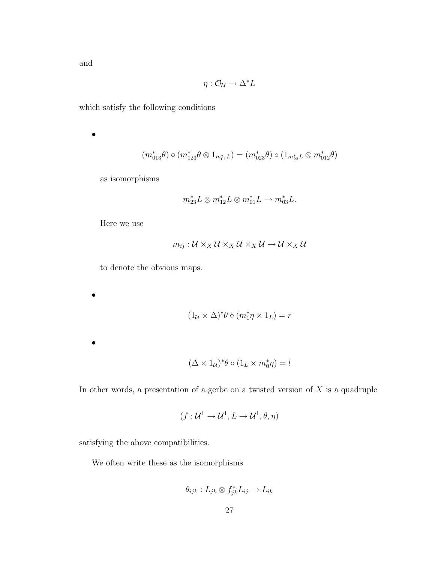and

$$
\eta: \mathcal{O}_{\mathcal{U}} \to \Delta^*L
$$

which satisfy the following conditions

•

$$
(m_{013}^*\theta) \circ (m_{123}^*\theta \otimes 1_{m_{01}^*L}) = (m_{023}^*\theta) \circ (1_{m_{23}^*L} \otimes m_{012}^*\theta)
$$

as isomorphisms

$$
m_{23}^* L \otimes m_{12}^* L \otimes m_{01}^* L \to m_{03}^* L.
$$

Here we use

$$
m_{ij}: \mathcal{U} \times_X \mathcal{U} \times_X \mathcal{U} \times_X \mathcal{U} \to \mathcal{U} \times_X \mathcal{U}
$$

to denote the obvious maps.

•  $(1_{\mathcal{U}} \times \Delta)^{*}\theta \circ (m_{1}^{*}\eta \times 1_{L}) = r$ •  $(\Delta \times 1_{\mathcal{U}})^*\theta \circ (1_L \times m_0^*\eta) = l$ 

In other words, a presentation of a gerbe on a twisted version of  $X$  is a quadruple

$$
(f: \mathcal{U}^1 \to \mathcal{U}^1, L \to \mathcal{U}^1, \theta, \eta)
$$

satisfying the above compatibilities.

We often write these as the isomorphisms

$$
\theta_{ijk}: L_{jk} \otimes f_{jk}^* L_{ij} \to L_{ik}
$$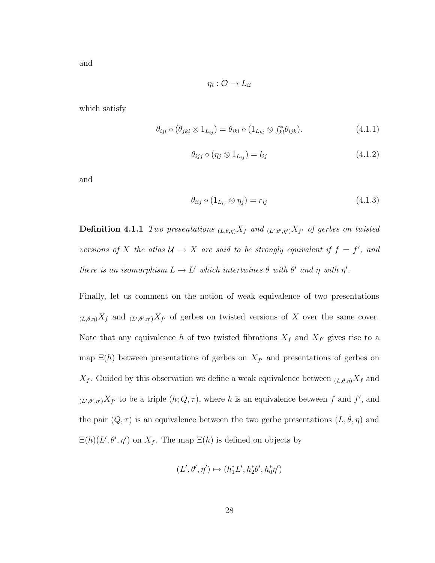and

 $\eta_i: \mathcal{O} \rightarrow L_{ii}$ 

which satisfy

$$
\theta_{ijl} \circ (\theta_{jkl} \otimes 1_{L_{ij}}) = \theta_{ikl} \circ (1_{L_{kl}} \otimes f_{kl}^* \theta_{ijk}). \tag{4.1.1}
$$

$$
\theta_{ijj} \circ (\eta_j \otimes 1_{L_{ij}}) = l_{ij} \tag{4.1.2}
$$

and

$$
\theta_{ij} \circ (1_{L_{ij}} \otimes \eta_j) = r_{ij} \tag{4.1.3}
$$

**Definition 4.1.1** Two presentations  $_{(L,\theta,\eta)}X_f$  and  $_{(L',\theta',\eta')}X_{f'}$  of gerbes on twisted versions of X the atlas  $\mathcal{U} \to X$  are said to be strongly equivalent if  $f = f'$ , and there is an isomorphism  $L \to L'$  which intertwines  $\theta$  with  $\theta'$  and  $\eta$  with  $\eta'$ .

Finally, let us comment on the notion of weak equivalence of two presentations  $(L, \theta, \eta) X_f$  and  $(L', \theta', \eta') X_{f'}$  of gerbes on twisted versions of X over the same cover. Note that any equivalence h of two twisted fibrations  $X_f$  and  $X_{f'}$  gives rise to a map  $\Xi(h)$  between presentations of gerbes on  $X_{f'}$  and presentations of gerbes on  $X_f$ . Guided by this observation we define a weak equivalence between  $(L, \theta, \eta) X_f$  and  $(L, \theta', \eta')X_{f'}$  to be a triple  $(h; Q, \tau)$ , where h is an equivalence between f and f', and the pair  $(Q, \tau)$  is an equivalence between the two gerbe presentations  $(L, \theta, \eta)$  and  $\Xi(h)(L', \theta', \eta')$  on  $X_f$ . The map  $\Xi(h)$  is defined on objects by

$$
(L',\theta',\eta')\mapsto (h_1^*L',h_2^*\theta',h_0^*\eta')
$$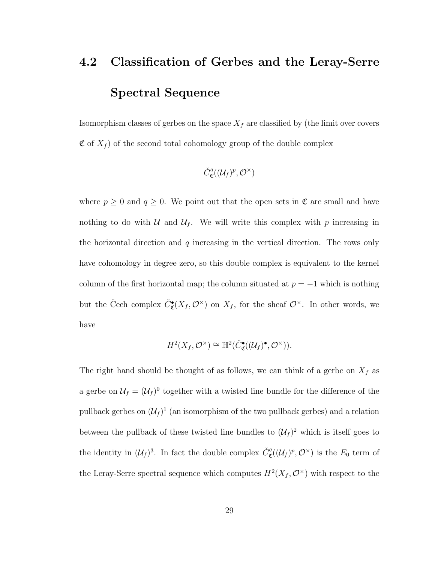## 4.2 Classification of Gerbes and the Leray-Serre Spectral Sequence

Isomorphism classes of gerbes on the space  $X_f$  are classified by (the limit over covers  $\mathfrak{C}$  of  $X_f$ ) of the second total cohomology group of the double complex

$$
\check{C}_{\mathfrak{C}} ^q ( (\mathcal{U}_f)^p, \mathcal{O}^{\times})
$$

where  $p \ge 0$  and  $q \ge 0$ . We point out that the open sets in  $\mathfrak C$  are small and have nothing to do with  $U$  and  $U_f$ . We will write this complex with p increasing in the horizontal direction and  $q$  increasing in the vertical direction. The rows only have cohomology in degree zero, so this double complex is equivalent to the kernel column of the first horizontal map; the column situated at  $p = -1$  which is nothing but the Čech complex  $\check{C}_c^{\bullet}(X_f, \mathcal{O}^{\times})$  on  $X_f$ , for the sheaf  $\mathcal{O}^{\times}$ . In other words, we have

$$
H^2(X_f, \mathcal{O}^\times) \cong \mathbb{H}^2(\check{C}^\bullet_{\mathfrak{C}}((\mathcal{U}_f)^\bullet, \mathcal{O}^\times)).
$$

The right hand should be thought of as follows, we can think of a gerbe on  $X_f$  as a gerbe on  $\mathcal{U}_f = (\mathcal{U}_f)^0$  together with a twisted line bundle for the difference of the pullback gerbes on  $(\mathcal{U}_f)^1$  (an isomorphism of the two pullback gerbes) and a relation between the pullback of these twisted line bundles to  $(\mathcal{U}_f)^2$  which is itself goes to the identity in  $(\mathcal{U}_f)^3$ . In fact the double complex  $\check{C}_{\mathfrak{C}}^q((\mathcal{U}_f)^p,\mathcal{O}^\times)$  is the  $E_0$  term of the Leray-Serre spectral sequence which computes  $H^2(X_f,{\mathcal O}^\times)$  with respect to the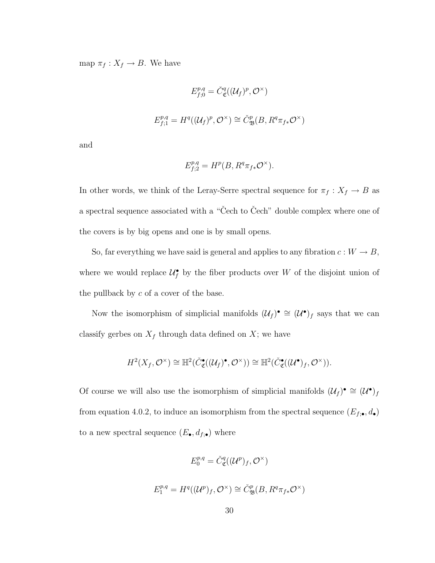map  $\pi_f: X_f \to B$ . We have

$$
E_{f;0}^{p,q} = \check{C}_{\mathfrak{C}}^{q}((\mathcal{U}_{f})^{p}, \mathcal{O}^{\times})
$$
  

$$
E_{f;1}^{p,q} = H^{q}((\mathcal{U}_{f})^{p}, \mathcal{O}^{\times}) \cong \check{C}_{\mathfrak{B}}^{p}(B, R^{q}\pi_{f*}\mathcal{O}^{\times})
$$

and

$$
E_{f;2}^{p,q} = H^p(B, R^q \pi_{f*} \mathcal{O}^\times).
$$

In other words, we think of the Leray-Serre spectral sequence for  $\pi_f : X_f \to B$  as a spectral sequence associated with a "Čech to Čech" double complex where one of the covers is by big opens and one is by small opens.

So, far everything we have said is general and applies to any fibration  $c: W \to B$ , where we would replace  $\mathcal{U}^{\bullet}_{f}$  by the fiber products over W of the disjoint union of the pullback by  $c$  of a cover of the base.

Now the isomorphism of simplicial manifolds  $(\mathcal{U}_f)$ <sup>•</sup>  $\cong (\mathcal{U}^{\bullet})_f$  says that we can classify gerbes on  $X_f$  through data defined on X; we have

$$
H^2(X_f, \mathcal{O}^\times) \cong \mathbb{H}^2(\check{C}_\mathfrak{C}^\bullet((\mathcal{U}_f)^\bullet, \mathcal{O}^\times)) \cong \mathbb{H}^2(\check{C}_\mathfrak{C}^\bullet((\mathcal{U}^\bullet)_f, \mathcal{O}^\times)).
$$

Of course we will also use the isomorphism of simplicial manifolds  $(\mathcal{U}_f)$ <sup>•</sup>  $\cong (\mathcal{U}^{\bullet})_f$ from equation 4.0.2, to induce an isomorphism from the spectral sequence  $(E_{f, \bullet}, d_{\bullet})$ to a new spectral sequence  $(E_{\bullet}, d_{f; \bullet})$  where

$$
E^{p,q}_0=\check{C}^q_{\frak{C}}((\mathcal{U}^p)_f,\mathcal{O}^\times)
$$

$$
E_1^{p,q}=H^q((\mathcal{U}^p)_f,\mathcal{O}^\times)\cong\check{C}_{\mathfrak{B}}^p(B,R^q\pi_{f*}\mathcal{O}^\times)
$$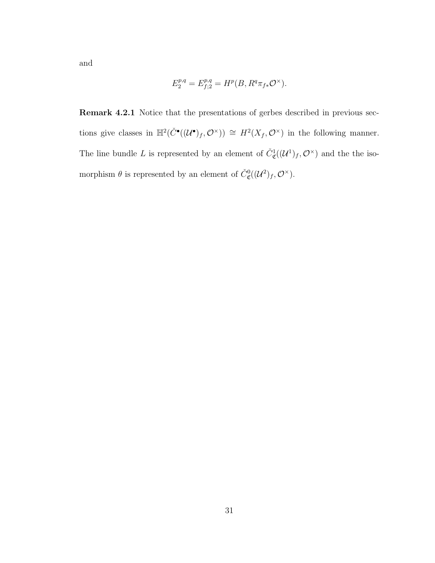and

$$
E_2^{p,q} = E_{f;2}^{p,q} = H^p(B, R^q \pi_{f*} \mathcal{O}^\times).
$$

Remark 4.2.1 Notice that the presentations of gerbes described in previous sections give classes in  $\mathbb{H}^2(\check{C}^{\bullet}((\mathcal{U}^{\bullet})_f,\mathcal{O}^{\times})) \cong H^2(X_f,\mathcal{O}^{\times})$  in the following manner. The line bundle L is represented by an element of  $\check{C}_{\mathfrak{C}}^1((\mathcal{U}^1)_f,\mathcal{O}^\times)$  and the the isomorphism  $\theta$  is represented by an element of  $\check{C}^0_{\mathfrak{C}}((\mathcal{U}^2)_f,\mathcal{O}^\times)$ .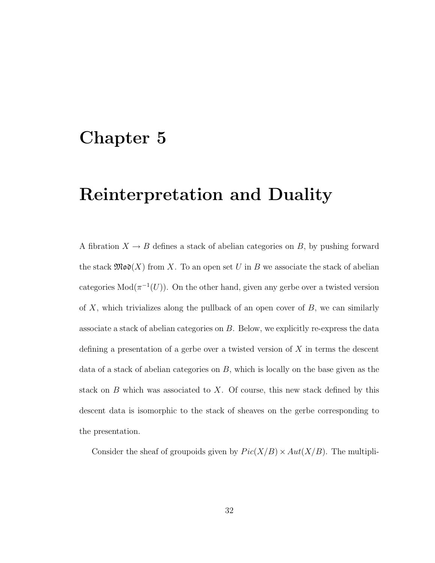### Chapter 5

## Reinterpretation and Duality

A fibration  $X \to B$  defines a stack of abelian categories on B, by pushing forward the stack  $\mathfrak{Mod}(X)$  from X. To an open set U in B we associate the stack of abelian categories  $Mod(\pi^{-1}(U))$ . On the other hand, given any gerbe over a twisted version of  $X$ , which trivializes along the pullback of an open cover of  $B$ , we can similarly associate a stack of abelian categories on  $B$ . Below, we explicitly re-express the data defining a presentation of a gerbe over a twisted version of  $X$  in terms the descent data of a stack of abelian categories on B, which is locally on the base given as the stack on  $B$  which was associated to  $X$ . Of course, this new stack defined by this descent data is isomorphic to the stack of sheaves on the gerbe corresponding to the presentation.

Consider the sheaf of groupoids given by  $Pic(X/B) \times Aut(X/B)$ . The multipli-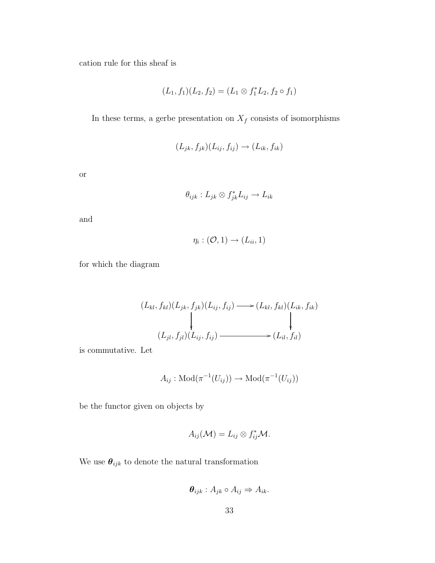cation rule for this sheaf is

$$
(L_1, f_1)(L_2, f_2) = (L_1 \otimes f_1^* L_2, f_2 \circ f_1)
$$

In these terms, a gerbe presentation on  $\mathcal{X}_f$  consists of isomorphisms

$$
(L_{jk}, f_{jk})(L_{ij}, f_{ij}) \rightarrow (L_{ik}, f_{ik})
$$

or

$$
\theta_{ijk}: L_{jk} \otimes f_{jk}^* L_{ij} \to L_{ik}
$$

and

$$
\eta_i:(\mathcal{O},1)\to (L_{ii},1)
$$

for which the diagram

$$
(L_{kl}, f_{kl})(L_{jk}, f_{jk})(L_{ij}, f_{ij}) \longrightarrow (L_{kl}, f_{kl})(L_{ik}, f_{ik})
$$
  
\n
$$
\downarrow \qquad \qquad \downarrow
$$
  
\n
$$
(L_{jl}, f_{jl})(L_{ij}, f_{ij}) \longrightarrow (L_{il}, f_{il})
$$

is commutative. Let

$$
A_{ij}: \text{Mod}(\pi^{-1}(U_{ij})) \to \text{Mod}(\pi^{-1}(U_{ij}))
$$

be the functor given on objects by

$$
A_{ij}(\mathcal{M})=L_{ij}\otimes f_{ij}^*\mathcal{M}.
$$

We use  $\pmb{\theta}_{ijk}$  to denote the natural transformation

$$
\theta_{ijk}: A_{jk} \circ A_{ij} \Rightarrow A_{ik}.
$$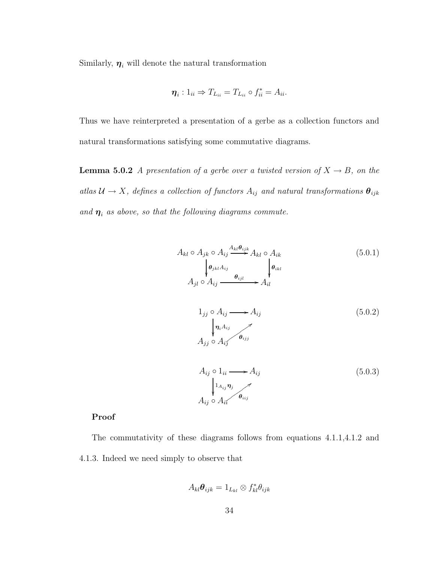Similarly,  $\pmb{\eta}_i$  will denote the natural transformation

$$
\boldsymbol{\eta}_i: 1_{ii} \Rightarrow T_{L_{ii}} = T_{L_{ii}} \circ f_{ii}^* = A_{ii}.
$$

Thus we have reinterpreted a presentation of a gerbe as a collection functors and natural transformations satisfying some commutative diagrams.

**Lemma 5.0.2** A presentation of a gerbe over a twisted version of  $X \rightarrow B$ , on the atlas  $\mathcal{U} \to X$ , defines a collection of functors  $A_{ij}$  and natural transformations  $\theta_{ijk}$ and  $\boldsymbol{\eta}_i$  as above, so that the following diagrams commute.

$$
A_{kl} \circ A_{jk} \circ A_{ij} \xrightarrow{A_{kl} \theta_{ijk}} A_{kl} \circ A_{ik} \qquad (5.0.1)
$$
  
\n
$$
\downarrow \theta_{jkl} A_{ij} \xrightarrow{\theta_{ijl}} A_{il} \qquad \qquad \theta_{ikl}
$$
  
\n
$$
A_{jl} \circ A_{ij} \longrightarrow A_{il}
$$
  
\n
$$
1_{jj} \circ A_{ij} \longrightarrow A_{ij}
$$
  
\n
$$
A_{jj} \circ A_{ij} \qquad \qquad \theta_{ijj}
$$
  
\n
$$
A_{ij} \circ 1_{ii} \longrightarrow A_{ij}
$$
  
\n
$$
A_{ij} \circ A_{ii} \qquad \qquad \theta_{ij}
$$
  
\n
$$
A_{ij} \circ A_{ii} \qquad \qquad \theta_{ij}
$$
  
\n
$$
A_{ij} \circ A_{ii} \qquad \qquad \theta_{ij}
$$
  
\n
$$
A_{ij} \circ A_{ii} \qquad \qquad \theta_{ij}
$$
  
\n(5.0.3)

Proof

The commutativity of these diagrams follows from equations 4.1.1,4.1.2 and 4.1.3. Indeed we need simply to observe that

$$
A_{kl}\boldsymbol{\theta}_{ijk} = 1_{L_{kl}} \otimes f_{kl}^* \theta_{ijk}
$$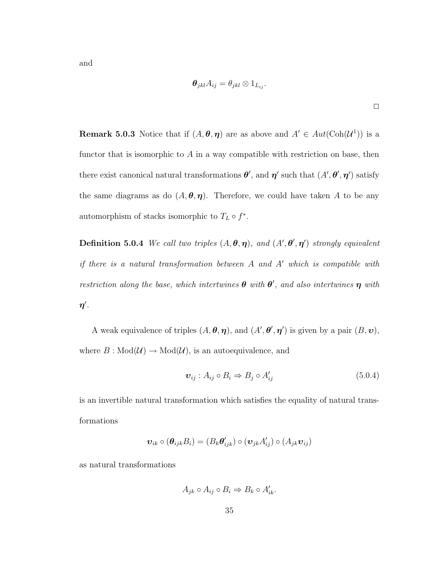and

$$
\boldsymbol{\theta}_{jkl} A_{ij} = \theta_{jkl} \otimes 1_{L_{ij}}.
$$

**Remark 5.0.3** Notice that if  $(A, \theta, \eta)$  are as above and  $A' \in Aut(\text{Coh}(\mathcal{U}^1))$  is a functor that is isomorphic to A in a way compatible with restriction on base, then there exist canonical natural transformations  $\boldsymbol{\theta}'$ , and  $\boldsymbol{\eta}'$  such that  $(A', \boldsymbol{\theta}', \boldsymbol{\eta}')$  satisfy the same diagrams as do  $(A, \theta, \eta)$ . Therefore, we could have taken A to be any automorphism of stacks isomorphic to  $T_L \circ f^*$ .

**Definition 5.0.4** We call two triples  $(A, \theta, \eta)$ , and  $(A', \theta', \eta')$  strongly equivalent if there is a natural transformation between  $A$  and  $A'$  which is compatible with restriction along the base, which intertwines  $\boldsymbol{\theta}$  with  $\boldsymbol{\theta}'$ , and also intertwines  $\boldsymbol{\eta}$  with  $\boldsymbol{\eta}'$  .

A weak equivalence of triples  $(A, \theta, \eta)$ , and  $(A', \theta', \eta')$  is given by a pair  $(B, \nu)$ , where  $B: Mod(\mathcal{U}) \to Mod(\mathcal{U})$ , is an autoequivalence, and

$$
\boldsymbol{v}_{ij}: A_{ij} \circ B_i \Rightarrow B_j \circ A'_{ij} \tag{5.0.4}
$$

is an invertible natural transformation which satisfies the equality of natural transformations

$$
\boldsymbol{v}_{ik} \circ (\boldsymbol{\theta}_{ijk} B_i) = (B_k \boldsymbol{\theta}_{ijk}') \circ (\boldsymbol{v}_{jk} A_{ij}') \circ (A_{jk} \boldsymbol{v}_{ij})
$$

as natural transformations

$$
A_{jk} \circ A_{ij} \circ B_i \Rightarrow B_k \circ A'_{ik}.
$$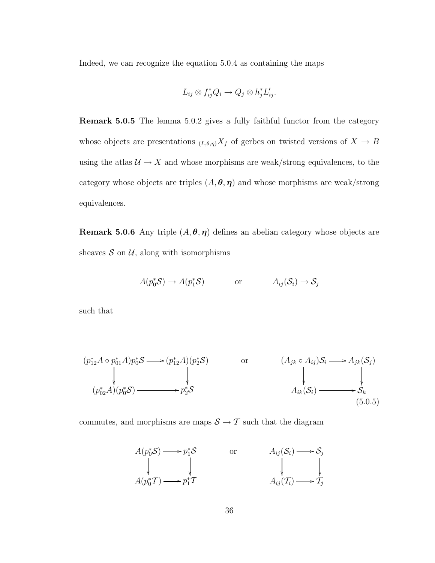Indeed, we can recognize the equation 5.0.4 as containing the maps

$$
L_{ij} \otimes f_{ij}^* Q_i \to Q_j \otimes h_j^* L'_{ij}.
$$

Remark 5.0.5 The lemma 5.0.2 gives a fully faithful functor from the category whose objects are presentations  $_{(L,\theta,\eta)}X_f$  of gerbes on twisted versions of  $X \to B$ using the atlas  $\mathcal{U} \to X$  and whose morphisms are weak/strong equivalences, to the category whose objects are triples  $(A, \theta, \eta)$  and whose morphisms are weak/strong equivalences.

**Remark 5.0.6** Any triple  $(A, \theta, \eta)$  defines an abelian category whose objects are sheaves  $S$  on  $U$ , along with isomorphisms

$$
A(p_0^*\mathcal{S}) \to A(p_1^*\mathcal{S}) \qquad \text{or} \qquad A_{ij}(\mathcal{S}_i) \to \mathcal{S}_j
$$

such that

$$
(p_{12}^* A \circ p_{01}^* A)p_0^* S \longrightarrow (p_{12}^* A)(p_2^* S) \qquad \text{or} \qquad (A_{jk} \circ A_{ij}) S_i \longrightarrow A_{jk} (S_j)
$$
  
\n
$$
(p_{02}^* A)(p_0^* S) \longrightarrow p_2^* S \qquad \qquad A_{ik} (S_i) \longrightarrow S_k
$$
  
\n(5.0.5)

commutes, and morphisms are maps  $\mathcal{S} \to \mathcal{T}$  such that the diagram

$$
A(p_0^*S) \longrightarrow p_1^*S \qquad \text{or} \qquad A_{ij}(S_i) \longrightarrow S_j
$$
  
\n
$$
A(p_0^*T) \longrightarrow p_1^*T \qquad \qquad A_{ij}(T_i) \longrightarrow T_j
$$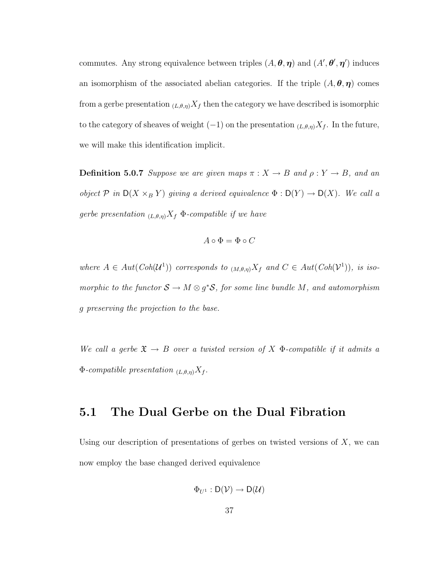commutes. Any strong equivalence between triples  $(A, \theta, \eta)$  and  $(A', \theta', \eta')$  induces an isomorphism of the associated abelian categories. If the triple  $(A, \theta, \eta)$  comes from a gerbe presentation  $(L, \theta, \eta) X_f$  then the category we have described is isomorphic to the category of sheaves of weight  $(-1)$  on the presentation  $(L, \theta, \eta)X_f$ . In the future, we will make this identification implicit.

**Definition 5.0.7** Suppose we are given maps  $\pi : X \to B$  and  $\rho : Y \to B$ , and an object  $P$  in  $D(X \times_B Y)$  giving a derived equivalence  $\Phi : D(Y) \to D(X)$ . We call a gerbe presentation  $(L, \theta, \eta) X_f$   $\Phi$ -compatible if we have

$$
A \circ \Phi = \Phi \circ C
$$

where  $A \in Aut(Coh(\mathcal{U}^1))$  corresponds to  $(M, \theta, \eta)X_f$  and  $C \in Aut(Coh(\mathcal{V}^1))$ , is isomorphic to the functor  $S \to M \otimes g^*S$ , for some line bundle M, and automorphism g preserving the projection to the base.

We call a gerbe  $\mathfrak{X} \to B$  over a twisted version of X  $\Phi$ -compatible if it admits a  $\Phi$ -compatible presentation  $(L, \theta, \eta)X_f$ .

#### 5.1 The Dual Gerbe on the Dual Fibration

Using our description of presentations of gerbes on twisted versions of  $X$ , we can now employ the base changed derived equivalence

$$
\Phi_{U^1}: \mathsf{D}(\mathcal{V}) \to \mathsf{D}(\mathcal{U})
$$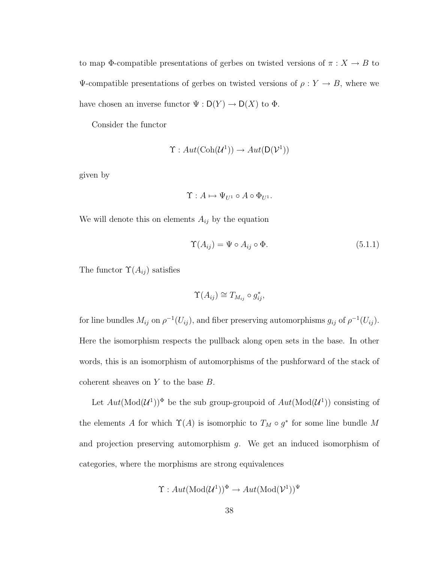to map  $\Phi$ -compatible presentations of gerbes on twisted versions of  $\pi: X \to B$  to Ψ-compatible presentations of gerbes on twisted versions of ρ : Y → B, where we have chosen an inverse functor  $\Psi : D(Y) \to D(X)$  to  $\Phi$ .

Consider the functor

$$
\Upsilon: \mathit{Aut}(\mathit{Coh}(\mathcal{U}^1)) \to \mathit{Aut}(D(\mathcal{V}^1))
$$

given by

$$
\Upsilon: A \mapsto \Psi_{U^1} \circ A \circ \Phi_{U^1}.
$$

We will denote this on elements  $A_{ij}$  by the equation

$$
\Upsilon(A_{ij}) = \Psi \circ A_{ij} \circ \Phi. \tag{5.1.1}
$$

The functor  $\Upsilon(A_{ij})$  satisfies

$$
\Upsilon(A_{ij}) \cong T_{M_{ij}} \circ g_{ij}^*,
$$

for line bundles  $M_{ij}$  on  $\rho^{-1}(U_{ij})$ , and fiber preserving automorphisms  $g_{ij}$  of  $\rho^{-1}(U_{ij})$ . Here the isomorphism respects the pullback along open sets in the base. In other words, this is an isomorphism of automorphisms of the pushforward of the stack of coherent sheaves on  $Y$  to the base  $B$ .

Let  $Aut(\text{Mod}(\mathcal{U}^1))^{\Phi}$  be the sub-group-groupoid of  $Aut(\text{Mod}(\mathcal{U}^1))$  consisting of the elements A for which  $\Upsilon(A)$  is isomorphic to  $T_M \circ g^*$  for some line bundle M and projection preserving automorphism g. We get an induced isomorphism of categories, where the morphisms are strong equivalences

$$
\Upsilon:Aut(\mathop{\rm Mod}\nolimits({\mathcal U}^1))^\Phi\to Aut(\mathop{\rm Mod}\nolimits({\mathcal V}^1))^\Psi
$$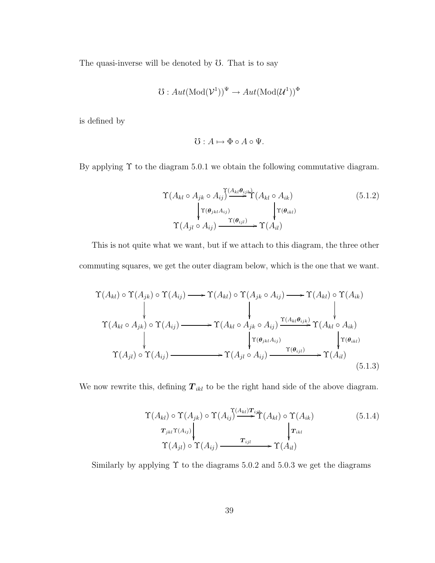The quasi-inverse will be denoted by  $\delta$ . That is to say

$$
\mathcal{U}:Aut(\mathop{\mathrm{Mod}}\nolimits(\mathcal{V}^1))^{\Psi}\to Aut(\mathop{\mathrm{Mod}}\nolimits(\mathcal{U}^1))^{\Phi}
$$

is defined by

$$
\mho:A\mapsto \Phi\circ A\circ \Psi.
$$

By applying  $\Upsilon$  to the diagram 5.0.1 we obtain the following commutative diagram.

Υ(Akl ◦ Ajk ◦ Aij ) Υ(Aklθijk) / Υ(θjklAij ) Υ(Akl ◦ Aik) Υ(θikl) Υ(Ajl ◦ Aij) Υ(θijl) /Υ(Ail) (5.1.2)

This is not quite what we want, but if we attach to this diagram, the three other commuting squares, we get the outer diagram below, which is the one that we want.

$$
\Upsilon(A_{kl}) \circ \Upsilon(A_{jk}) \circ \Upsilon(A_{ij}) \longrightarrow \Upsilon(A_{kl}) \circ \Upsilon(A_{jk} \circ A_{ij}) \longrightarrow \Upsilon(A_{kl}) \circ \Upsilon(A_{ik})
$$
\n
$$
\uparrow \qquad \qquad \downarrow \qquad \qquad \downarrow \qquad \qquad \downarrow
$$
\n
$$
\Upsilon(A_{kl} \circ A_{jk}) \circ \Upsilon(A_{ij}) \longrightarrow \Upsilon(A_{kl} \circ A_{jk} \circ A_{ij}) \xrightarrow{\Upsilon(A_{kl} \theta_{ijk})} \Upsilon(A_{kl} \circ A_{ik})
$$
\n
$$
\uparrow \qquad \qquad \downarrow \qquad \qquad \downarrow \qquad \qquad \downarrow \qquad \qquad \downarrow \qquad \qquad \downarrow \qquad \qquad \downarrow \qquad \qquad \downarrow \qquad \qquad \downarrow \qquad \qquad \downarrow \qquad \qquad \downarrow \qquad \qquad \downarrow \qquad \qquad \downarrow \qquad \qquad \downarrow \qquad \qquad \downarrow \qquad \qquad \downarrow \qquad \qquad \downarrow \qquad \qquad \downarrow \qquad \qquad \downarrow \qquad \qquad \downarrow \qquad \qquad \downarrow \qquad \qquad \downarrow \qquad \qquad \downarrow \qquad \qquad \downarrow \qquad \qquad \downarrow \qquad \qquad \downarrow \qquad \qquad \downarrow \qquad \qquad \downarrow \qquad \qquad \downarrow \qquad \qquad \downarrow \qquad \qquad \downarrow \qquad \qquad \downarrow \qquad \qquad \downarrow \qquad \qquad \downarrow \qquad \qquad \downarrow \qquad \qquad \downarrow \qquad \qquad \downarrow \qquad \qquad \downarrow \qquad \qquad \downarrow \qquad \qquad \downarrow \qquad \qquad \downarrow \qquad \qquad \downarrow \qquad \qquad \downarrow \qquad \qquad \downarrow \qquad \qquad \downarrow \qquad \qquad \downarrow \qquad \qquad \downarrow \qquad \qquad \downarrow \qquad \qquad \downarrow \qquad \qquad \downarrow \qquad \qquad \downarrow \qquad \qquad \downarrow \qquad \qquad \downarrow \qquad \qquad \downarrow \qquad \qquad \downarrow \qquad \qquad \downarrow \qquad \qquad \downarrow \qquad \qquad \downarrow \qquad \qquad \downarrow \qquad \qquad \downarrow \qquad \qquad \downarrow \qquad \qquad \downarrow \qquad \qquad \downarrow \qquad
$$

We now rewrite this, defining  $T_{ikl}$  to be the right hand side of the above diagram.

$$
\Upsilon(A_{kl}) \circ \Upsilon(A_{jk}) \circ \Upsilon(A_{ij}) \xrightarrow{\Upsilon(A_{il})} \Upsilon^{(A_{kl})} \circ \Upsilon(A_{ik})
$$
\n
$$
\begin{array}{c}\n\tau_{jkl} \Upsilon(A_{ij}) \\
\downarrow \\
\Upsilon(A_{jl}) \circ \Upsilon(A_{ij}) \xrightarrow{\Upsilon_{ijl}} \Upsilon(A_{il})\n\end{array} (5.1.4)
$$

Similarly by applying  $\Upsilon$  to the diagrams 5.0.2 and 5.0.3 we get the diagrams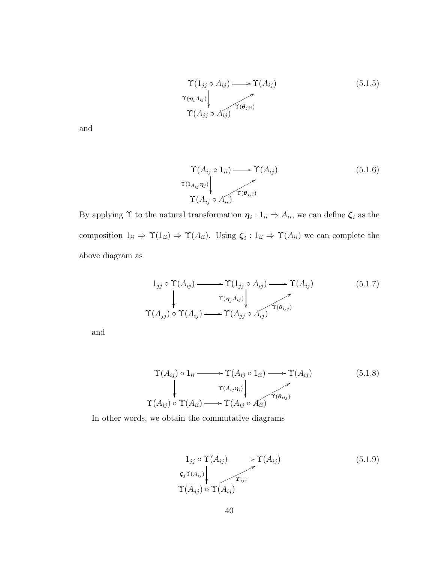$$
\begin{aligned}\n\Upsilon(1_{jj} \circ A_{ij}) &\longrightarrow \Upsilon(A_{ij}) \\
\Upsilon(\eta_i A_{ij}) &\downarrow \\
\Upsilon(A_{jj} \circ A_{ij}) &\downarrow \\
\end{aligned} \tag{5.1.5}
$$

and

$$
\begin{aligned}\n\Upsilon(A_{ij} \circ 1_{ii}) &\longrightarrow \Upsilon(A_{ij}) \\
\uparrow \Upsilon(1_{A_{ij}} \eta_j) &\downarrow \\
\Upsilon(A_{ij} \circ A_{ii}) &\downarrow \\
\Upsilon(A_{ij} \circ A_{ii}) &\downarrow\n\end{aligned} \tag{5.1.6}
$$

By applying  $\Upsilon$  to the natural transformation  $\eta_i: 1_{ii} \Rightarrow A_{ii}$ , we can define  $\zeta_i$  as the composition  $1_{ii} \Rightarrow \Upsilon(1_{ii}) \Rightarrow \Upsilon(A_{ii})$ . Using  $\zeta_i : 1_{ii} \Rightarrow \Upsilon(A_{ii})$  we can complete the above diagram as

$$
\begin{array}{ccc}\n1_{jj} \circ \Upsilon(A_{ij}) & \longrightarrow & \Upsilon(1_{jj} \circ A_{ij}) \longrightarrow \Upsilon(A_{ij}) \\
\downarrow & \downarrow & \uparrow & \downarrow \\
\Upsilon(A_{jj}) \circ \Upsilon(A_{ij}) & \longrightarrow & \Upsilon(A_{jj} \circ A_{ij}) \longrightarrow \Upsilon(\theta_{ij})\n\end{array} \tag{5.1.7}
$$

and

$$
\Upsilon(A_{ij}) \circ 1_{ii} \longrightarrow \Upsilon(A_{ij} \circ 1_{ii}) \longrightarrow \Upsilon(A_{ij})
$$
\n
$$
\downarrow \qquad \qquad \Upsilon(A_{ij}\eta_i) \downarrow \qquad \qquad \Upsilon(A_{ij}) \circ \Upsilon(A_{ii}) \longrightarrow \Upsilon(A_{ij} \circ A_{ii}) \qquad \qquad \Upsilon(B_{ii}) \qquad \qquad \Upsilon(A_{ij}) \circ \Upsilon(A_{ii}) \longrightarrow \Upsilon(A_{ij} \circ A_{ii}) \qquad \qquad \Upsilon(B_{ii}) \qquad \qquad \Upsilon(B_{ii}) \qquad \qquad \Upsilon(B_{ii}) \qquad \qquad \Upsilon(B_{ii}) \qquad \qquad \Upsilon(B_{ii}) \qquad \qquad \Upsilon(B_{ii}) \qquad \qquad \Upsilon(B_{ii}) \qquad \qquad \Upsilon(B_{ii}) \qquad \qquad \Upsilon(B_{ii}) \qquad \qquad \Upsilon(B_{ii}) \qquad \qquad \Upsilon(B_{ii}) \qquad \qquad \Upsilon(B_{ii}) \qquad \qquad \Upsilon(B_{ii}) \qquad \qquad \Upsilon(B_{ii}) \qquad \qquad \Upsilon(B_{ii}) \qquad \qquad \Upsilon(B_{ii}) \qquad \qquad \Upsilon(B_{ii}) \qquad \qquad \Upsilon(B_{ii}) \qquad \qquad \Upsilon(B_{ii}) \qquad \qquad \Upsilon(B_{ii}) \qquad \qquad \Upsilon(B_{ii}) \qquad \qquad \Upsilon(B_{ii}) \qquad \qquad \Upsilon(B_{ii}) \qquad \qquad \Upsilon(B_{ii}) \qquad \qquad \Upsilon(B_{ii}) \qquad \qquad \Upsilon(B_{ii}) \qquad \qquad \Upsilon(B_{ii}) \qquad \qquad \Upsilon(B_{ii}) \qquad \qquad \Upsilon(B_{ii}) \qquad \qquad \Upsilon(B_{ii}) \qquad \qquad \Upsilon(B_{ii}) \qquad \qquad \Upsilon(B_{ii}) \qquad \qquad \Upsilon(B_{ii}) \qquad \qquad \Upsilon(B_{ii}) \qquad \qquad \Upsilon(B_{ii}) \qquad \qquad \Upsilon(B_{ii}) \qquad \qquad \Upsilon(B_{ii}) \qquad \qquad \Upsilon(B_{ii}) \qquad \qquad \Upsilon(B_{ii}) \qquad \qquad \Upsilon(B_{ii}) \qquad \qquad \Upsilon(B_{ii}) \qquad \qquad \Upsilon(B_{ii}) \qquad \qquad \Upsilon(B_{ii}) \qquad \qquad \Upsilon(B_{ii}) \qquad \qquad \Upsilon(B_{ii}) \qquad \qquad \Upsilon(B_{ii}) \qquad \q
$$

In other words, we obtain the commutative diagrams

$$
1_{jj} \circ \Upsilon(A_{ij}) \longrightarrow \Upsilon(A_{ij})
$$
  
\n
$$
\zeta_j \Upsilon(A_{ij}) \downarrow \qquad \qquad \qquad \Upsilon(A_{ij})
$$
  
\n
$$
\Upsilon(A_{jj}) \circ \Upsilon(A_{ij})
$$
\n(5.1.9)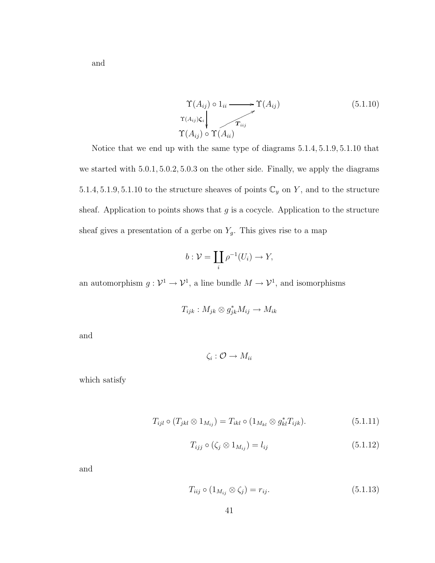$$
\begin{aligned}\n\Upsilon(A_{ij}) &\circ 1_{ii} \longrightarrow \Upsilon(A_{ij}) \\
\uparrow (A_{ij}) && \searrow \\
\Upsilon(A_{ij}) &\circ \Upsilon(A_{ii})\n\end{aligned}\n\tag{5.1.10}
$$

Notice that we end up with the same type of diagrams 5.1.4, 5.1.9, 5.1.10 that we started with 5.0.1, 5.0.2, 5.0.3 on the other side. Finally, we apply the diagrams 5.1.4, 5.1.9, 5.1.10 to the structure sheaves of points  $\mathbb{C}_y$  on Y, and to the structure sheaf. Application to points shows that  $g$  is a cocycle. Application to the structure sheaf gives a presentation of a gerbe on  $Y_g$ . This gives rise to a map

$$
b: \mathcal{V} = \coprod_i \rho^{-1}(U_i) \to Y,
$$

an automorphism  $g: \mathcal{V}^1 \to \mathcal{V}^1$ , a line bundle  $M \to \mathcal{V}^1$ , and isomorphisms

$$
T_{ijk}: M_{jk} \otimes g_{jk}^* M_{ij} \to M_{ik}
$$

and

$$
\zeta_i: \mathcal{O} \rightarrow M_{ii}
$$

which satisfy

$$
T_{ijl} \circ (T_{jkl} \otimes 1_{M_{ij}}) = T_{ikl} \circ (1_{M_{kl}} \otimes g_{kl}^* T_{ijk}). \tag{5.1.11}
$$

$$
T_{ijj} \circ (\zeta_j \otimes 1_{M_{ij}}) = l_{ij} \tag{5.1.12}
$$

and

$$
T_{ij} \circ (1_{M_{ij}} \otimes \zeta_j) = r_{ij}.\tag{5.1.13}
$$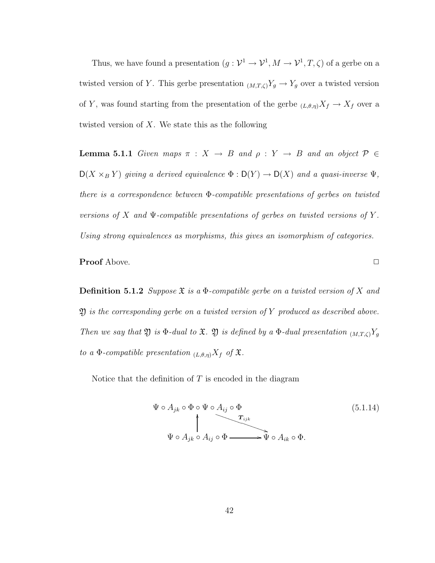Thus, we have found a presentation  $(g: \mathcal{V}^1 \to \mathcal{V}^1, M \to \mathcal{V}^1, T, \zeta)$  of a gerbe on a twisted version of Y. This gerbe presentation  $(M,T,\zeta)Y_g \to Y_g$  over a twisted version of Y, was found starting from the presentation of the gerbe  $(L, \theta, \eta)X_f \to X_f$  over a twisted version of  $X$ . We state this as the following

**Lemma 5.1.1** Given maps  $\pi$  :  $X \rightarrow B$  and  $\rho$  :  $Y \rightarrow B$  and an object  $\mathcal{P} \in$  $D(X \times_B Y)$  giving a derived equivalence  $\Phi : D(Y) \to D(X)$  and a quasi-inverse  $\Psi$ , there is a correspondence between Φ-compatible presentations of gerbes on twisted versions of X and  $\Psi$ -compatible presentations of gerbes on twisted versions of Y. Using strong equivalences as morphisms, this gives an isomorphism of categories.

**Proof** Above. □

**Definition 5.1.2** Suppose  $\mathfrak{X}$  is a  $\Phi$ -compatible gerbe on a twisted version of X and  $\mathfrak Y$  is the corresponding gerbe on a twisted version of Y produced as described above. Then we say that  $\mathfrak{Y}$  is  $\Phi$ -dual to  $\mathfrak{X}$ .  $\mathfrak{Y}$  is defined by a  $\Phi$ -dual presentation  $(M,T,\zeta)Y_g$ to a  $\Phi$ -compatible presentation  $(L, \theta, \eta)X_f$  of  $\mathfrak{X}$ .

Notice that the definition of  $T$  is encoded in the diagram

$$
\Psi \circ A_{jk} \circ \Phi \circ \Psi \circ A_{ij} \circ \Phi
$$
\n
$$
\Psi \circ A_{jk} \circ A_{ij} \circ \Phi
$$
\n
$$
\left\{ \begin{array}{c}\n\mathbf{T}_{ijk} \\
\downarrow \\
\downarrow \\
\downarrow\n\end{array} \right\} \circ A_{ik} \circ \Phi
$$
\n
$$
(5.1.14)
$$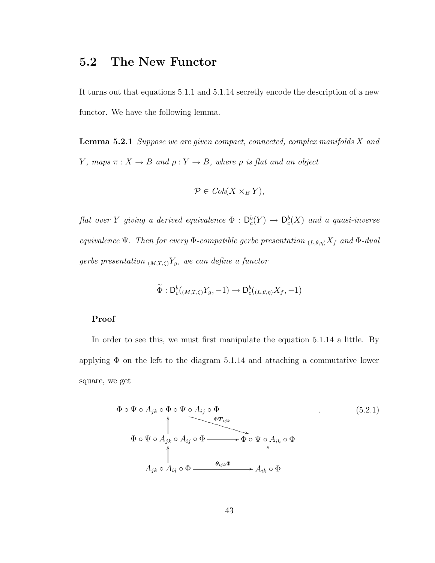### 5.2 The New Functor

It turns out that equations 5.1.1 and 5.1.14 secretly encode the description of a new functor. We have the following lemma.

**Lemma 5.2.1** Suppose we are given compact, connected, complex manifolds  $X$  and Y, maps  $\pi: X \to B$  and  $\rho: Y \to B$ , where  $\rho$  is flat and an object

$$
\mathcal{P} \in Coh(X \times_B Y),
$$

flat over Y giving a derived equivalence  $\Phi : \mathsf{D}_{c}^{b}(Y) \to \mathsf{D}_{c}^{b}(X)$  and a quasi-inverse equivalence  $\Psi$ . Then for every  $\Phi$ -compatible gerbe presentation  $(L, \theta, \eta)X_f$  and  $\Phi$ -dual gerbe presentation  $(M,T,\zeta)Y_g$ , we can define a functor

$$
\widetilde{\Phi}: \mathsf{D}_{c}^{b}((M,T,\zeta)}(Y_g,-1) \to \mathsf{D}_{c}^{b}((L,\theta,\eta)}(X_f,-1))
$$

#### Proof

In order to see this, we must first manipulate the equation 5.1.14 a little. By applying  $\Phi$  on the left to the diagram 5.1.14 and attaching a commutative lower square, we get

$$
\Phi \circ \Psi \circ A_{jk} \circ \Phi \circ \Psi \circ A_{ij} \circ \Phi
$$
\n
$$
\Phi \circ \Psi \circ A_{jk} \circ A_{ij} \circ \Phi \longrightarrow \Phi \circ \Psi \circ A_{ik} \circ \Phi
$$
\n
$$
\uparrow
$$
\n
$$
A_{jk} \circ A_{ij} \circ \Phi \longrightarrow \Phi \circ \Psi \circ A_{ik} \circ \Phi
$$
\n
$$
\downarrow
$$
\n
$$
A_{jk} \circ A_{ij} \circ \Phi \longrightarrow \theta_{ijk} \Phi \longrightarrow A_{ik} \circ \Phi
$$
\n
$$
(5.2.1)
$$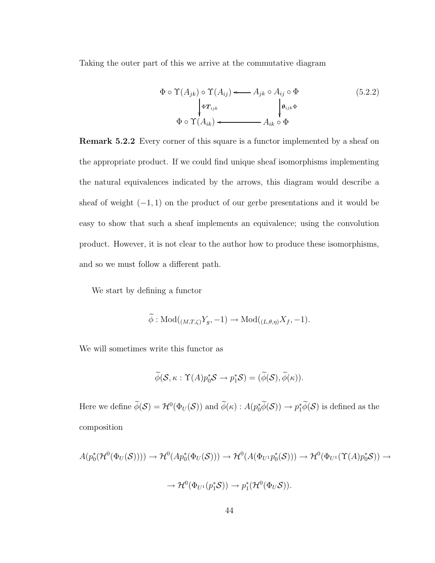Taking the outer part of this we arrive at the commutative diagram

$$
\Phi \circ \Upsilon(A_{jk}) \circ \Upsilon(A_{ij}) \leftarrow A_{jk} \circ A_{ij} \circ \Phi
$$
\n
$$
\downarrow \Phi \mathbf{T}_{ijk}
$$
\n
$$
\Phi \circ \Upsilon(A_{ik}) \leftarrow A_{ik} \circ \Phi
$$
\n(5.2.2)

Remark 5.2.2 Every corner of this square is a functor implemented by a sheaf on the appropriate product. If we could find unique sheaf isomorphisms implementing the natural equivalences indicated by the arrows, this diagram would describe a sheaf of weight  $(-1, 1)$  on the product of our gerbe presentations and it would be easy to show that such a sheaf implements an equivalence; using the convolution product. However, it is not clear to the author how to produce these isomorphisms, and so we must follow a different path.

We start by defining a functor

$$
\widetilde{\phi}: \mathrm{Mod}(\mathcal{M},T,\zeta)}(Y_g,-1) \to \mathrm{Mod}(\mathcal{M},\theta,\eta)}(X_f,-1).
$$

We will sometimes write this functor as

$$
\widetilde{\phi}(\mathcal{S}, \kappa : \Upsilon(A) p_0^* \mathcal{S} \to p_1^* \mathcal{S}) = (\widetilde{\phi}(\mathcal{S}), \widetilde{\phi}(\kappa)).
$$

Here we define  $\phi(\mathcal{S}) = \mathcal{H}^0(\Phi_U(\mathcal{S}))$  and  $\phi(\kappa) : A(p_0^*\phi(\mathcal{S})) \to p_1^*\phi(\mathcal{S})$  is defined as the composition

$$
A(p_0^*(\mathcal{H}^0(\Phi_U(\mathcal{S})))) \to \mathcal{H}^0(Ap_0^*(\Phi_U(\mathcal{S}))) \to \mathcal{H}^0(A(\Phi_{U^1}p_0^*(\mathcal{S}))) \to \mathcal{H}^0(\Phi_{U^1}(\Upsilon(A)p_0^*\mathcal{S})) \to
$$
  

$$
\to \mathcal{H}^0(\Phi_{U^1}(p_1^*\mathcal{S})) \to p_1^*(\mathcal{H}^0(\Phi_U\mathcal{S})).
$$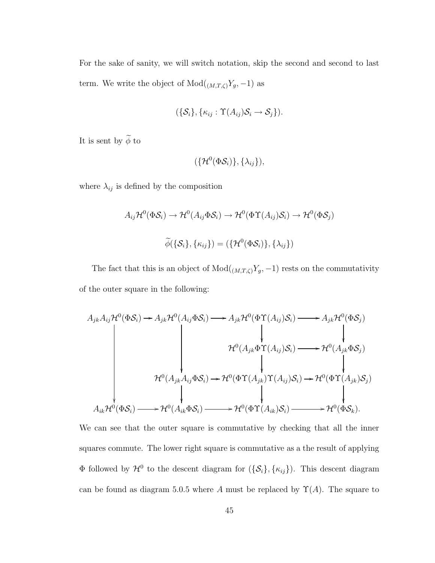For the sake of sanity, we will switch notation, skip the second and second to last term. We write the object of  $Mod(_{(M,T,\zeta)}Y_g,-1)$  as

$$
(\{\mathcal{S}_i\}, \{\kappa_{ij} : \Upsilon(A_{ij})\mathcal{S}_i \to \mathcal{S}_j\}).
$$

It is sent by  $\widetilde{\phi}$  to

$$
(\{\mathcal{H}^0(\Phi\mathcal{S}_i)\},\{\lambda_{ij}\}),
$$

where  $\lambda_{ij}$  is defined by the composition

$$
A_{ij}\mathcal{H}^{0}(\Phi\mathcal{S}_{i}) \to \mathcal{H}^{0}(A_{ij}\Phi\mathcal{S}_{i}) \to \mathcal{H}^{0}(\Phi\Upsilon(A_{ij})\mathcal{S}_{i}) \to \mathcal{H}^{0}(\Phi\mathcal{S}_{j})
$$

$$
\widetilde{\phi}(\{\mathcal{S}_{i}\}, \{\kappa_{ij}\}) = (\{\mathcal{H}^{0}(\Phi\mathcal{S}_{i})\}, \{\lambda_{ij}\})
$$

The fact that this is an object of  $Mod(_{(M,T,\zeta)}Y_g,-1)$  rests on the commutativity of the outer square in the following:

$$
A_{jk}A_{ij}\mathcal{H}^{0}(\Phi\mathcal{S}_{i}) \to A_{jk}\mathcal{H}^{0}(A_{ij}\Phi\mathcal{S}_{i}) \longrightarrow A_{jk}\mathcal{H}^{0}(\Phi\Upsilon(A_{ij})\mathcal{S}_{i}) \longrightarrow A_{jk}\mathcal{H}^{0}(\Phi\mathcal{S}_{j})
$$
\n
$$
\downarrow \downarrow \downarrow \downarrow
$$
\n
$$
\mathcal{H}^{0}(A_{jk}A_{ij}\Phi\mathcal{S}_{i}) \to \mathcal{H}^{0}(A_{jk}\Phi\Upsilon(A_{ij})\mathcal{S}_{i}) \longrightarrow \mathcal{H}^{0}(A_{jk}\Phi\mathcal{S}_{j})
$$
\n
$$
\downarrow \downarrow \downarrow
$$
\n
$$
A_{ik}\mathcal{H}^{0}(\Phi\mathcal{S}_{i}) \longrightarrow \mathcal{H}^{0}(A_{ik}\Phi\mathcal{S}_{i}) \longrightarrow \mathcal{H}^{0}(\Phi\Upsilon(A_{ik})\mathcal{S}_{i}) \longrightarrow \mathcal{H}^{0}(\Phi\mathcal{S}_{k}).
$$

We can see that the outer square is commutative by checking that all the inner squares commute. The lower right square is commutative as a the result of applying  $\Phi$  followed by  $\mathcal{H}^0$  to the descent diagram for  $(\{\mathcal{S}_i\}, {\{\kappa_{ij}\}})$ . This descent diagram can be found as diagram 5.0.5 where A must be replaced by  $\Upsilon(A)$ . The square to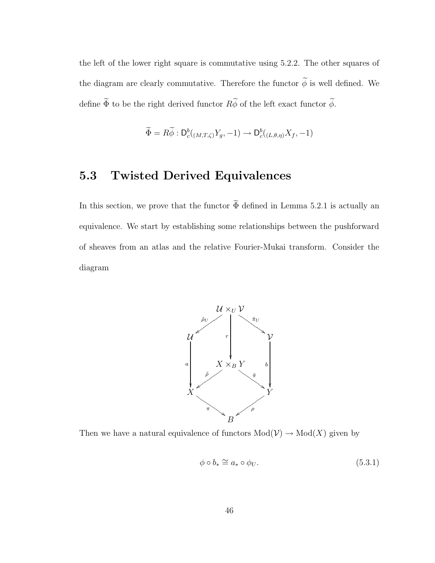the left of the lower right square is commutative using 5.2.2. The other squares of the diagram are clearly commutative. Therefore the functor  $\widetilde{\phi}$  is well defined. We define  $\widetilde{\Phi}$  to be the right derived functor  $R\widetilde{\phi}$  of the left exact functor  $\widetilde{\phi}.$ 

$$
\widetilde{\Phi} = R\widetilde{\phi} : \mathsf{D}_{c}^{b}({}_{(M,T,\zeta)}Y_g, -1) \to \mathsf{D}_{c}^{b}({}_{(L,\theta,\eta)}X_f, -1)
$$

### 5.3 Twisted Derived Equivalences

In this section, we prove that the functor  $\widetilde{\Phi}$  defined in Lemma 5.2.1 is actually an equivalence. We start by establishing some relationships between the pushforward of sheaves from an atlas and the relative Fourier-Mukai transform. Consider the diagram



Then we have a natural equivalence of functors  $Mod(\mathcal{V}) \to Mod(X)$  given by

$$
\phi \circ b_* \cong a_* \circ \phi_U. \tag{5.3.1}
$$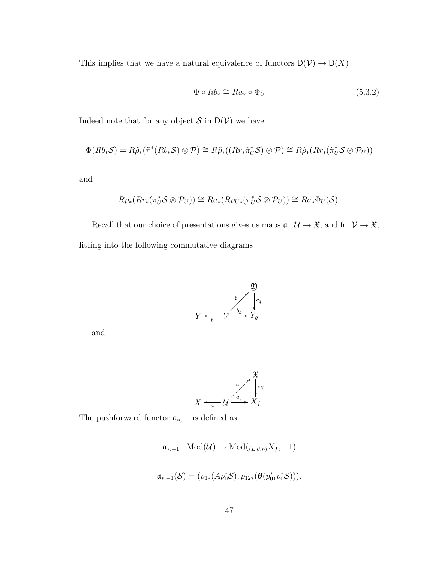This implies that we have a natural equivalence of functors  $\mathsf{D}(\mathcal{V}) \to \mathsf{D}(X)$ 

$$
\Phi \circ Rb_* \cong Ra_* \circ \Phi_U \tag{5.3.2}
$$

Indeed note that for any object  $S$  in  $D(\mathcal{V})$  we have

$$
\Phi(Rb_*\mathcal{S}) = R\tilde{\rho}_*(\tilde{\pi}^*(Rb_*\mathcal{S}) \otimes \mathcal{P}) \cong R\tilde{\rho}_*((Rr_*\tilde{\pi}_U^*\mathcal{S}) \otimes \mathcal{P}) \cong R\tilde{\rho}_*(Rr_*(\tilde{\pi}_U^*\mathcal{S} \otimes \mathcal{P}_U))
$$

and

$$
R\tilde{\rho}_*(Rr_*(\tilde{\pi}_U^*\mathcal{S}\otimes \mathcal{P}_U))\cong Ra_*(R\tilde{\rho}_{U*}(\tilde{\pi}_U^*\mathcal{S}\otimes \mathcal{P}_U))\cong Ra_*\Phi_U(\mathcal{S}).
$$

Recall that our choice of presentations gives us maps  $\mathfrak{a}:\mathcal{U}\to\mathfrak{X},$  and  $\mathfrak{b}:\mathcal{V}\to\mathfrak{X},$ fitting into the following commutative diagrams



and



The pushforward functor  $\mathfrak{a}_{*,-1}$  is defined as

$$
\mathfrak{a}_{*,-1}: Mod(\mathcal{U}) \to Mod(_{(L,\theta,\eta)}X_f,-1)
$$
  

$$
\mathfrak{a}_{*,-1}(\mathcal{S}) = (p_{1*}(Ap_0^*\mathcal{S}), p_{12*}(\boldsymbol{\theta}(p_{01}^*p_0^*\mathcal{S}))).
$$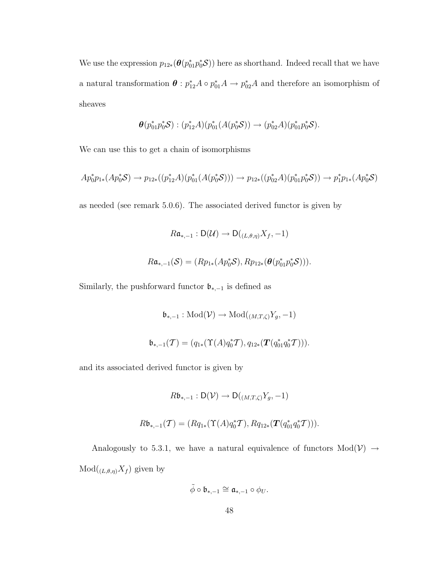We use the expression  $p_{12*}(\theta(p_{01}^* p_0^* \mathcal{S}))$  here as shorthand. Indeed recall that we have a natural transformation  $\boldsymbol{\theta} : p_{12}^* A \circ p_{01}^* A \to p_{02}^* A$  and therefore an isomorphism of sheaves

$$
\boldsymbol{\theta}(p_{01}^* p_0^* \mathcal{S}) : (p_{12}^* A)(p_{01}^* (A(p_0^* \mathcal{S})) \to (p_{02}^* A)(p_{01}^* p_0^* \mathcal{S}).
$$

We can use this to get a chain of isomorphisms

$$
Ap_0^*p_{1*}(Ap_0^*\mathcal{S}) \to p_{12*}((p_{12}^*A)(p_{01}^*(A(p_0^*\mathcal{S}))) \to p_{12*}((p_{02}^*A)(p_{01}^*p_0^*\mathcal{S})) \to p_1^*p_{1*}(Ap_0^*\mathcal{S})
$$

as needed (see remark 5.0.6). The associated derived functor is given by

$$
R\mathfrak{a}_{*,-1}: \mathsf{D}(\mathcal{U}) \to \mathsf{D}({}_{(L,\theta,\eta)}X_f, -1)
$$
  

$$
R\mathfrak{a}_{*,-1}(\mathcal{S}) = (Rp_{1*}(Ap_0^*\mathcal{S}), Rp_{12*}(\theta(p_{01}^*p_0^*\mathcal{S}))).
$$

Similarly, the pushforward functor  $\mathfrak{b}_{*,-1}$  is defined as

$$
\mathfrak{b}_{*,-1}: Mod(\mathcal{V}) \to Mod(_{(M,T,\zeta)}Y_g, -1)
$$
  

$$
\mathfrak{b}_{*,-1}(\mathcal{T}) = (q_{1*}(\Upsilon(A)q_0^*\mathcal{T}), q_{12*}(\mathcal{T}(q_0^*q_0^*\mathcal{T}))).
$$

and its associated derived functor is given by

$$
R\mathfrak{b}_{\ast,-1}:D(\mathcal{V})\to D(_{(M,T,\zeta)}Y_g,-1)
$$

$$
R\mathfrak{b}_{*,-1}(\mathcal{T}) = (Rq_{1*}(\Upsilon(A)q_0^*\mathcal{T}), Rq_{12*}(\mathbf{T}(q_0^*q_0^*\mathcal{T}))).
$$

Analogously to 5.3.1, we have a natural equivalence of functors  $Mod(V) \rightarrow$  $Mod_{(L,\theta,\eta)}X_f$  given by

$$
\tilde{\phi}\circ\mathfrak{b}_{*,-1}\cong\mathfrak{a}_{*,-1}\circ\phi_U.
$$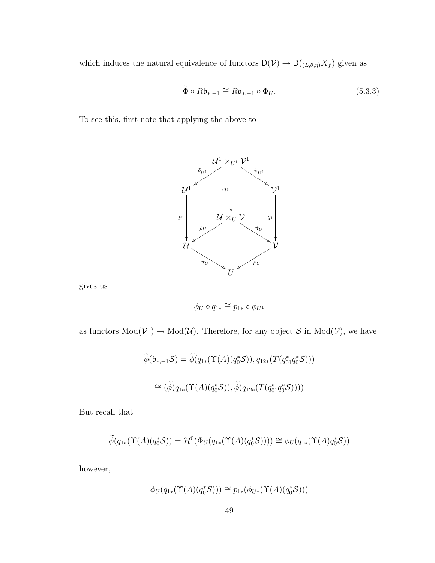which induces the natural equivalence of functors  $D(\mathcal{V}) \to D({_{(L,\theta,\eta)}}X_f)$  given as

$$
\widetilde{\Phi} \circ R\mathfrak{b}_{*,-1} \cong R\mathfrak{a}_{*,-1} \circ \Phi_U.
$$
\n(5.3.3)

To see this, first note that applying the above to



gives us

$$
\phi_U \circ q_{1*} \cong p_{1*} \circ \phi_{U^1}
$$

as functors  $Mod(\mathcal{V}^1) \to Mod(\mathcal{U})$ . Therefore, for any object S in  $Mod(\mathcal{V})$ , we have

$$
\widetilde{\phi}(\mathfrak{b}_{*,-1}S) = \widetilde{\phi}(q_{1*}(\Upsilon(A)(q_0^*S)), q_{12*}(T(q_{01}^*q_0^*S)))
$$
\n
$$
\cong (\widetilde{\phi}(q_{1*}(\Upsilon(A)(q_0^*S)), \widetilde{\phi}(q_{12*}(T(q_{01}^*q_0^*S))))
$$

But recall that

$$
\widetilde{\phi}(q_{1*}(\Upsilon(A)(q_0^*\mathcal{S})) = \mathcal{H}^0(\Phi_U(q_{1*}(\Upsilon(A)(q_0^*\mathcal{S})))) \cong \phi_U(q_{1*}(\Upsilon(A)q_0^*\mathcal{S}))
$$

however,

$$
\phi_U(q_{1*}(\Upsilon(A)(q_0^*\mathcal{S}))) \cong p_{1*}(\phi_{U^1}(\Upsilon(A)(q_0^*\mathcal{S})))
$$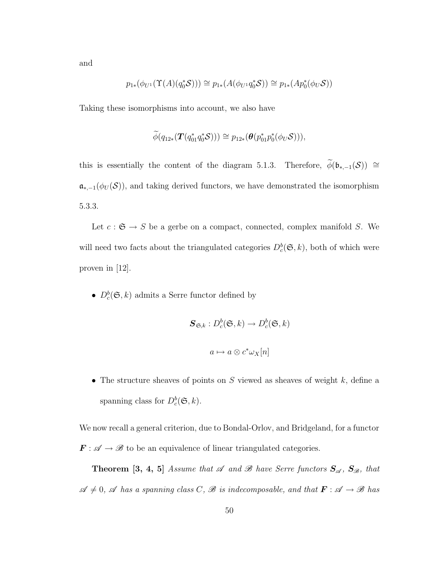and

$$
p_{1*}(\phi_{U^1}(\Upsilon(A)(q_0^*\mathcal{S}))) \cong p_{1*}(A(\phi_{U^1}q_0^*\mathcal{S})) \cong p_{1*}(Ap_0^*(\phi_U\mathcal{S}))
$$

Taking these isomorphisms into account, we also have

$$
\widetilde{\phi}(q_{12*}(\boldsymbol{T}(q_{01}^*q_0^*\mathcal{S}))) \cong p_{12*}(\boldsymbol{\theta}(p_{01}^*p_0^*(\phi_U\mathcal{S}))),
$$

this is essentially the content of the diagram 5.1.3. Therefore,  $\phi(\mathfrak{b}_{*,-1}(\mathcal{S})) \cong$  $\mathfrak{a}_{*,-1}(\phi_U(\mathcal{S}))$ , and taking derived functors, we have demonstrated the isomorphism 5.3.3.

Let  $c : \mathfrak{S} \to S$  be a gerbe on a compact, connected, complex manifold S. We will need two facts about the triangulated categories  $D_c^b(\mathfrak{S}, k)$ , both of which were proven in [12].

•  $D_c^b(\mathfrak{S}, k)$  admits a Serre functor defined by

$$
\boldsymbol{S}_{\mathfrak{S},k}:D^b_c(\mathfrak{S},k)\rightarrow D^b_c(\mathfrak{S},k)
$$

$$
a \mapsto a \otimes c^* \omega_X[n]
$$

• The structure sheaves of points on  $S$  viewed as sheaves of weight  $k$ , define a spanning class for  $D_c^b(\mathfrak{S}, k)$ .

We now recall a general criterion, due to Bondal-Orlov, and Bridgeland, for a functor  $\boldsymbol{F}:\mathscr{A}\to\mathscr{B}$  to be an equivalence of linear triangulated categories.

**Theorem [3, 4, 5]** Assume that  $\mathscr A$  and  $\mathscr B$  have Serre functors  $S_{\mathscr A}$ ,  $S_{\mathscr B}$ , that  $\mathscr{A} \neq 0$ ,  $\mathscr{A}$  has a spanning class C,  $\mathscr{B}$  is indecomposable, and that  $\mathbf{F} : \mathscr{A} \to \mathscr{B}$  has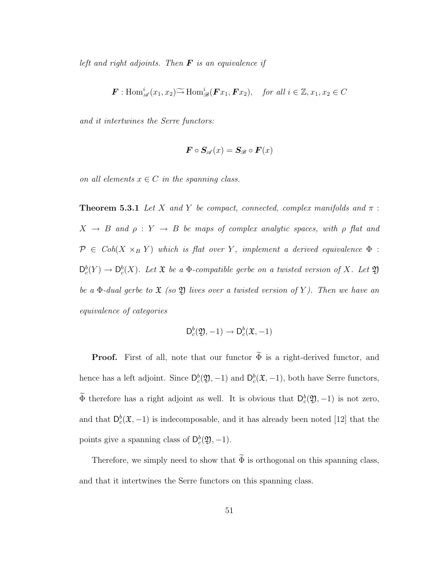left and right adjoints. Then  $\bf{F}$  is an equivalence if

$$
\boldsymbol{F} : \text{Hom}_{\mathscr{A}}^i(x_1, x_2) \widetilde{\to} \text{Hom}_{\mathscr{B}}^i(\boldsymbol{F} x_1, \boldsymbol{F} x_2), \quad \text{for all } i \in \mathbb{Z}, x_1, x_2 \in C
$$

and it intertwines the Serre functors:

$$
\boldsymbol{F} \circ \boldsymbol{S}_{\mathscr{A}}(x) = \boldsymbol{S}_{\mathscr{B}} \circ \boldsymbol{F}(x)
$$

on all elements  $x \in C$  in the spanning class.

**Theorem 5.3.1** Let X and Y be compact, connected, complex manifolds and  $\pi$ :  $X \rightarrow B$  and  $\rho : Y \rightarrow B$  be maps of complex analytic spaces, with  $\rho$  flat and  $\mathcal{P} \in \text{Coh}(X \times_B Y)$  which is flat over Y, implement a derived equivalence  $\Phi$ :  $\mathsf{D}_{c}^{b}(Y) \to \mathsf{D}_{c}^{b}(X)$ . Let  $\mathfrak{X}$  be a  $\Phi$ -compatible gerbe on a twisted version of X. Let  $\mathfrak{Y}$ be a  $\Phi$ -dual gerbe to  $\mathfrak X$  (so  $\mathfrak Y$  lives over a twisted version of Y). Then we have an equivalence of categories

$$
\mathsf{D}_{c}^{b}(\mathfrak{Y},-1)\rightarrow \mathsf{D}_{c}^{b}(\mathfrak{X},-1)
$$

**Proof.** First of all, note that our functor  $\widetilde{\Phi}$  is a right-derived functor, and hence has a left adjoint. Since  $D_c^b(\mathfrak{Y}, -1)$  and  $D_c^b(\mathfrak{X}, -1)$ , both have Serre functors,  $\widetilde{\Phi}$  therefore has a right adjoint as well. It is obvious that  $D_c^b(\mathfrak{Y},-1)$  is not zero, and that  $D_c^b(\mathfrak{X},-1)$  is indecomposable, and it has already been noted [12] that the points give a spanning class of  $D_c^b(\mathfrak{Y}, -1)$ .

Therefore, we simply need to show that  $\widetilde{\Phi}$  is orthogonal on this spanning class, and that it intertwines the Serre functors on this spanning class.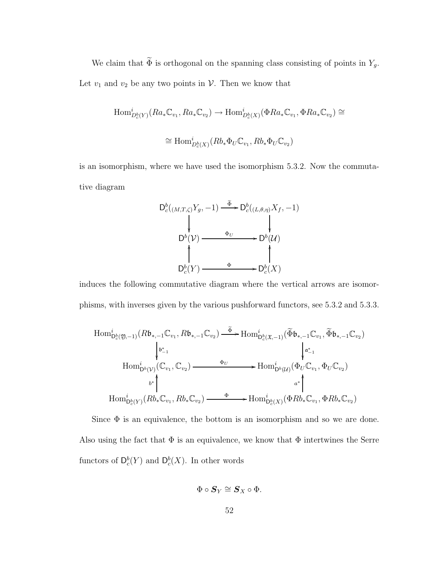We claim that  $\widetilde{\Phi}$  is orthogonal on the spanning class consisting of points in  $Y_g$ . Let  $v_1$  and  $v_2$  be any two points in  $\mathcal V$ . Then we know that

$$
\text{Hom}_{D_c^b(Y)}^i(Ra_*\mathbb{C}_{v_1}, Ra_*\mathbb{C}_{v_2}) \to \text{Hom}_{D_c^b(X)}^i(\Phi Ra_*\mathbb{C}_{v_1}, \Phi Ra_*\mathbb{C}_{v_2}) \cong
$$
  

$$
\cong \text{Hom}_{D_c^b(X)}^i(Rb_*\Phi_U\mathbb{C}_{v_1}, Rb_*\Phi_U\mathbb{C}_{v_2})
$$

is an isomorphism, where we have used the isomorphism 5.3.2. Now the commutative diagram

$$
D_c^b((M,T,\zeta)}Y_g,-1) \xrightarrow{\tilde{\Phi}} D_c^b((L,\theta,\eta)}X_f,-1)
$$
\n
$$
D^b(\mathcal{V}) \xrightarrow{\Phi_U} D^b(\mathcal{U})
$$
\n
$$
D_c^b(Y) \xrightarrow{\Phi} D^b(C)
$$

induces the following commutative diagram where the vertical arrows are isomorphisms, with inverses given by the various pushforward functors, see 5.3.2 and 5.3.3.

$$
\text{Hom}_{\mathsf{D}_{c}^{b}(\mathfrak{Y},-1)}^{i}(R\mathfrak{b}_{*,-1}\mathbb{C}_{v_{1}},R\mathfrak{b}_{*,-1}\mathbb{C}_{v_{2}})\xrightarrow{\widetilde{\Phi}}\text{Hom}_{\mathsf{D}_{c}^{b}(\mathfrak{X},-1)}^{i}(\widetilde{\Phi}\mathfrak{b}_{*,-1}\mathbb{C}_{v_{1}},\widetilde{\Phi}\mathfrak{b}_{*,-1}\mathbb{C}_{v_{2}})\xrightarrow{\left\|\mathfrak{b}_{-1}^{k}\right\|_{\mathfrak{b}_{-1}^{k}}}\mathfrak{b}_{*}
$$
\n
$$
\text{Hom}_{\mathsf{D}^{b}(\mathcal{V})}^{i}(\mathbb{C}_{v_{1}},\mathbb{C}_{v_{2}})\xrightarrow{\Phi_{U}}\text{Hom}_{\mathsf{D}^{b}(\mathcal{U})}^{i}(\Phi_{U}\mathbb{C}_{v_{1}},\Phi_{U}\mathbb{C}_{v_{2}})
$$
\n
$$
\text{Hom}_{\mathsf{D}_{c}^{b}(\mathcal{Y})}^{i}(R\mathfrak{b}_{*}\mathbb{C}_{v_{1}},R\mathfrak{b}_{*}\mathbb{C}_{v_{2}})\xrightarrow{\Phi}\text{Hom}_{\mathsf{D}_{c}^{b}(\mathcal{X})}^{i}(\Phi R\mathfrak{b}_{*}\mathbb{C}_{v_{1}},\Phi R\mathfrak{b}_{*}\mathbb{C}_{v_{2}})
$$

Since  $\Phi$  is an equivalence, the bottom is an isomorphism and so we are done. Also using the fact that  $\Phi$  is an equivalence, we know that  $\Phi$  intertwines the Serre functors of  $\mathsf{D}_{c}^{b}(Y)$  and  $\mathsf{D}_{c}^{b}(X)$ . In other words

$$
\Phi \circ \mathbf{S}_Y \cong \mathbf{S}_X \circ \Phi.
$$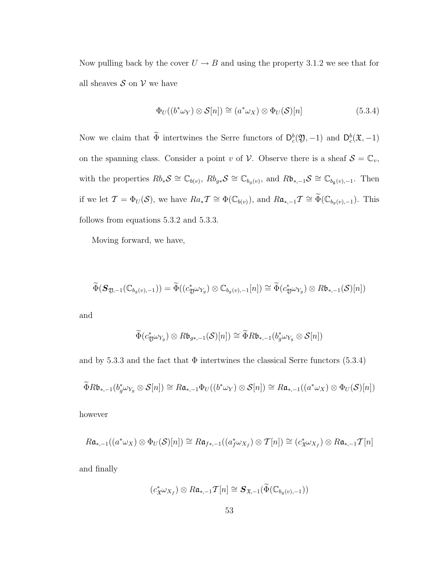Now pulling back by the cover  $U \rightarrow B$  and using the property 3.1.2 we see that for all sheaves  $\mathcal S$  on  $\mathcal V$  we have

$$
\Phi_U((b^*\omega_Y)\otimes \mathcal{S}[n]) \cong (a^*\omega_X)\otimes \Phi_U(\mathcal{S})[n] \tag{5.3.4}
$$

Now we claim that  $\widetilde{\Phi}$  intertwines the Serre functors of  $D_c^b(\mathfrak{Y},-1)$  and  $D_c^b(\mathfrak{X},-1)$ on the spanning class. Consider a point v of V. Observe there is a sheaf  $S = \mathbb{C}_v$ , with the properties  $Rb_*\mathcal{S} \cong \mathbb{C}_{b(v)}, Rb_{g*}\mathcal{S} \cong \mathbb{C}_{b_g(v)},$  and  $Rb_{*,-1}\mathcal{S} \cong \mathbb{C}_{b_g(v),-1}$ . Then if we let  $\mathcal{T} = \Phi_U(\mathcal{S})$ , we have  $Ra_*\mathcal{T} \cong \Phi(\mathbb{C}_{b(v)})$ , and  $Ra_{*,-1}\mathcal{T} \cong \widetilde{\Phi}(\mathbb{C}_{b_g(v),-1})$ . This follows from equations 5.3.2 and 5.3.3.

Moving forward, we have,

$$
\widetilde{\Phi}(\mathbf{S}_{\mathfrak{Y},-1}(\mathbb{C}_{b_{g}(v),-1})) = \widetilde{\Phi}((c_{\mathfrak{Y}}^{*}\omega_{Y_{g}}) \otimes \mathbb{C}_{b_{g}(v),-1}[n]) \cong \widetilde{\Phi}(c_{\mathfrak{Y}}^{*}\omega_{Y_{g}}) \otimes R\mathfrak{b}_{*,-1}(\mathcal{S})[n])
$$

and

$$
\widetilde{\Phi}(c_{\mathfrak{Y}}^*\omega_{Y_g}) \otimes R\mathfrak{b}_{g*,-1}(\mathcal{S})[n]) \cong \widetilde{\Phi} R\mathfrak{b}_{*,-1}(b_g^*\omega_{Y_g} \otimes \mathcal{S}[n])
$$

and by 5.3.3 and the fact that  $\Phi$  intertwines the classical Serre functors (5.3.4)

$$
\widetilde{\Phi}R\mathfrak{b}_{*,-1}(b_{g}^{*}\omega_{Y_{g}}\otimes\mathcal{S}[n])\cong R\mathfrak{a}_{*,-1}\Phi_{U}((b^{*}\omega_{Y})\otimes\mathcal{S}[n])\cong R\mathfrak{a}_{*,-1}((a^{*}\omega_{X})\otimes\Phi_{U}(\mathcal{S})[n])
$$

however

$$
R\mathfrak{a}_{*,-1}((a^*\omega_X)\otimes \Phi_U(\mathcal{S})[n])\cong R\mathfrak{a}_{f*,-1}((a_f^*\omega_{X_f})\otimes \mathcal{T}[n])\cong (c^*_\mathfrak{X}\omega_{X_f})\otimes R\mathfrak{a}_{*,-1}\mathcal{T}[n]
$$

and finally

$$
(c^*_{\mathfrak{X}} \omega_{X_f}) \otimes R\mathfrak{a}_{*,-1} \mathcal{T}[n] \cong \mathcal{S}_{\mathfrak{X},-1}(\widetilde{\Phi}(\mathbb{C}_{b_g(v),-1}))
$$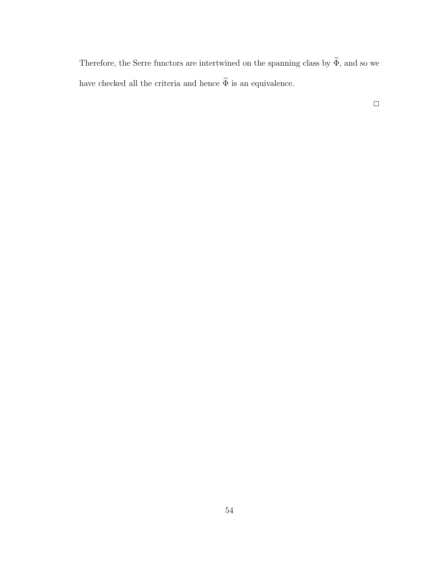Therefore, the Serre functors are intertwined on the spanning class by  $\widetilde{\Phi},$  and so we have checked all the criteria and hence  $\widetilde{\Phi}$  is an equivalence.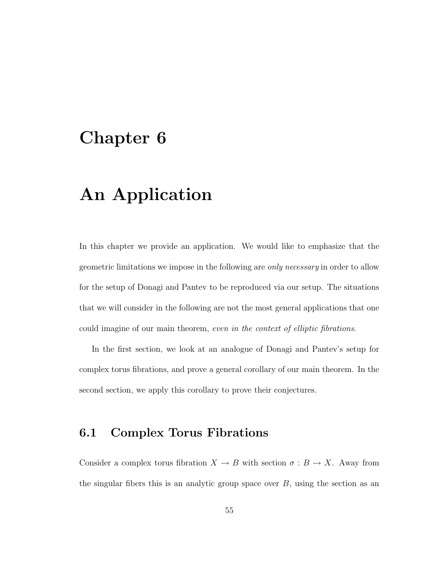### Chapter 6

## An Application

In this chapter we provide an application. We would like to emphasize that the geometric limitations we impose in the following are only necessary in order to allow for the setup of Donagi and Pantev to be reproduced via our setup. The situations that we will consider in the following are not the most general applications that one could imagine of our main theorem, even in the context of elliptic fibrations.

In the first section, we look at an analogue of Donagi and Pantev's setup for complex torus fibrations, and prove a general corollary of our main theorem. In the second section, we apply this corollary to prove their conjectures.

### 6.1 Complex Torus Fibrations

Consider a complex torus fibration  $X \to B$  with section  $\sigma : B \to X$ . Away from the singular fibers this is an analytic group space over  $B$ , using the section as an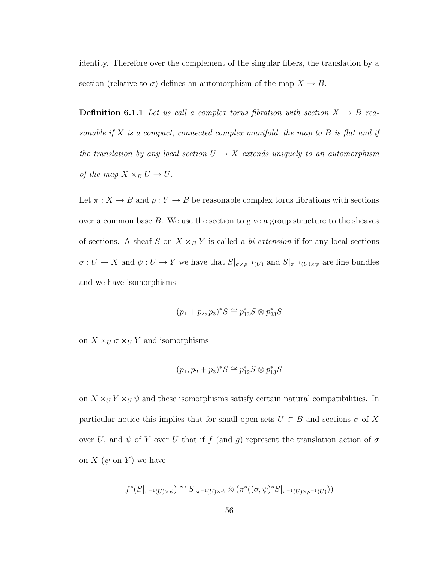identity. Therefore over the complement of the singular fibers, the translation by a section (relative to  $\sigma$ ) defines an automorphism of the map  $X \to B$ .

**Definition 6.1.1** Let us call a complex torus fibration with section  $X \rightarrow B$  reasonable if  $X$  is a compact, connected complex manifold, the map to  $B$  is flat and if the translation by any local section  $U \rightarrow X$  extends uniquely to an automorphism of the map  $X \times_B U \to U$ .

Let  $\pi: X \to B$  and  $\rho: Y \to B$  be reasonable complex torus fibrations with sections over a common base  $B$ . We use the section to give a group structure to the sheaves of sections. A sheaf S on  $X \times_B Y$  is called a *bi-extension* if for any local sections  $\sigma: U \to X$  and  $\psi: U \to Y$  we have that  $S|_{\sigma \times \rho^{-1}(U)}$  and  $S|_{\pi^{-1}(U) \times \psi}$  are line bundles and we have isomorphisms

$$
(p_1 + p_2, p_3)^* S \cong p_{13}^* S \otimes p_{23}^* S
$$

on  $X \times_U \sigma \times_U Y$  and isomorphisms

$$
(p_1, p_2 + p_3)^* S \cong p_{12}^* S \otimes p_{13}^* S
$$

on  $X \times_U Y \times_U \psi$  and these isomorphisms satisfy certain natural compatibilities. In particular notice this implies that for small open sets  $U \subset B$  and sections  $\sigma$  of X over U, and  $\psi$  of Y over U that if f (and g) represent the translation action of  $\sigma$ on X  $(\psi$  on Y) we have

$$
f^*(S|_{\pi^{-1}(U)\times\psi}) \cong S|_{\pi^{-1}(U)\times\psi} \otimes (\pi^*((\sigma,\psi)^*S|_{\pi^{-1}(U)\times\rho^{-1}(U)}))
$$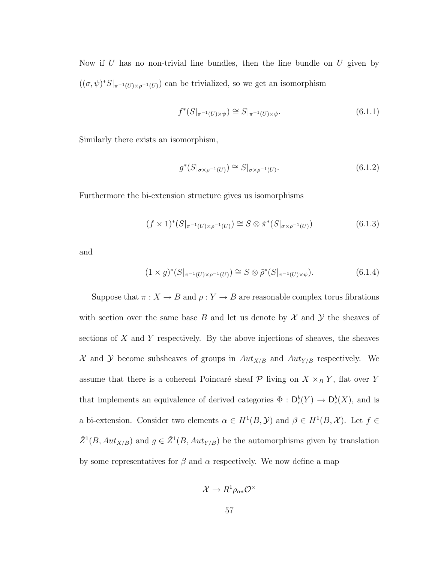Now if  $U$  has no non-trivial line bundles, then the line bundle on  $U$  given by  $((\sigma, \psi)^* S|_{\pi^{-1}(U) \times \rho^{-1}(U)})$  can be trivialized, so we get an isomorphism

$$
f^*(S|_{\pi^{-1}(U)\times\psi}) \cong S|_{\pi^{-1}(U)\times\psi}.\tag{6.1.1}
$$

Similarly there exists an isomorphism,

$$
g^*(S|_{\sigma \times \rho^{-1}(U)}) \cong S|_{\sigma \times \rho^{-1}(U)}.
$$
\n(6.1.2)

Furthermore the bi-extension structure gives us isomorphisms

$$
(f \times 1)^{*}(S|_{\pi^{-1}(U)\times\rho^{-1}(U)}) \cong S \otimes \tilde{\pi}^{*}(S|_{\sigma \times \rho^{-1}(U)})
$$
\n
$$
(6.1.3)
$$

and

$$
(1 \times g)^{*}(S|_{\pi^{-1}(U) \times \rho^{-1}(U)}) \cong S \otimes \tilde{\rho}^{*}(S|_{\pi^{-1}(U) \times \psi}). \tag{6.1.4}
$$

Suppose that  $\pi: X \to B$  and  $\rho: Y \to B$  are reasonable complex torus fibrations with section over the same base B and let us denote by  $\mathcal X$  and  $\mathcal Y$  the sheaves of sections of  $X$  and  $Y$  respectively. By the above injections of sheaves, the sheaves X and Y become subsheaves of groups in  $Aut_{X/B}$  and  $Aut_{Y/B}$  respectively. We assume that there is a coherent Poincaré sheaf  $P$  living on  $X \times_B Y$ , flat over Y that implements an equivalence of derived categories  $\Phi: D_c^b(Y) \to D_c^b(X)$ , and is a bi-extension. Consider two elements  $\alpha \in H^1(B, \mathcal{Y})$  and  $\beta \in H^1(B, \mathcal{X})$ . Let  $f \in$  $\check{Z}^1(B, Aut_{X/B})$  and  $g \in \check{Z}^1(B, Aut_{Y/B})$  be the automorphisms given by translation by some representatives for  $\beta$  and  $\alpha$  respectively. We now define a map

$$
\mathcal{X} \to R^1 \rho_{\alpha*} \mathcal{O}^\times
$$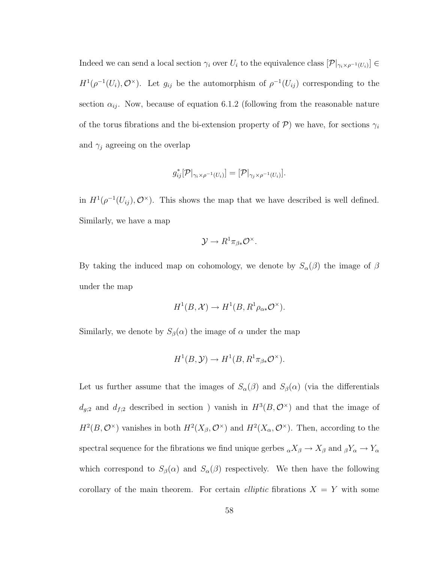Indeed we can send a local section  $\gamma_i$  over  $U_i$  to the equivalence class  $[\mathcal{P}|_{\gamma_i \times \rho^{-1}(U_i)}] \in$  $H^1(\rho^{-1}(U_i), \mathcal{O}^\times)$ . Let  $g_{ij}$  be the automorphism of  $\rho^{-1}(U_{ij})$  corresponding to the section  $\alpha_{ij}$ . Now, because of equation 6.1.2 (following from the reasonable nature of the torus fibrations and the bi-extension property of  $P$ ) we have, for sections  $\gamma_i$ and  $\gamma_j$  agreeing on the overlap

$$
g_{ij}^*[\mathcal{P}|_{\gamma_i\times\rho^{-1}(U_i)}]=[\mathcal{P}|_{\gamma_j\times\rho^{-1}(U_i)}].
$$

in  $H^1(\rho^{-1}(U_{ij}), \mathcal{O}^\times)$ . This shows the map that we have described is well defined. Similarly, we have a map

$$
\mathcal{Y}\to R^1\pi_{\beta*}\mathcal{O}^\times.
$$

By taking the induced map on cohomology, we denote by  $S_{\alpha}(\beta)$  the image of  $\beta$ under the map

$$
H^1(B, \mathcal{X}) \to H^1(B, R^1 \rho_{\alpha*} \mathcal{O}^{\times}).
$$

Similarly, we denote by  $S_\beta(\alpha)$  the image of  $\alpha$  under the map

$$
H^1(B, \mathcal{Y}) \to H^1(B, R^1 \pi_{\beta*} \mathcal{O}^\times).
$$

Let us further assume that the images of  $S_{\alpha}(\beta)$  and  $S_{\beta}(\alpha)$  (via the differentials  $d_{g;2}$  and  $d_{f;2}$  described in section) vanish in  $H^3(B, \mathcal{O}^\times)$  and that the image of  $H^2(B, \mathcal{O}^\times)$  vanishes in both  $H^2(X_\beta, \mathcal{O}^\times)$  and  $H^2(X_\alpha, \mathcal{O}^\times)$ . Then, according to the spectral sequence for the fibrations we find unique gerbes  ${}_{\alpha}X_{\beta} \to X_{\beta}$  and  ${}_{\beta}Y_{\alpha} \to Y_{\alpha}$ which correspond to  $S_{\beta}(\alpha)$  and  $S_{\alpha}(\beta)$  respectively. We then have the following corollary of the main theorem. For certain *elliptic* fibrations  $X = Y$  with some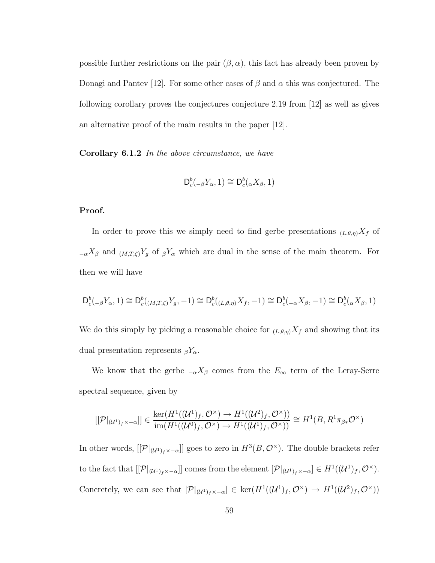possible further restrictions on the pair  $(\beta, \alpha)$ , this fact has already been proven by Donagi and Pantev [12]. For some other cases of  $\beta$  and  $\alpha$  this was conjectured. The following corollary proves the conjectures conjecture 2.19 from [12] as well as gives an alternative proof of the main results in the paper [12].

Corollary 6.1.2 In the above circumstance, we have

$$
\mathsf{D}_{c}^{b}({}_{-\beta}Y_{\alpha},1) \cong \mathsf{D}_{c}^{b}({}_{\alpha}X_{\beta},1)
$$

#### Proof.

In order to prove this we simply need to find gerbe presentations  $(L, \theta, \eta) X_f$  of  $-\alpha X_{\beta}$  and  $(M,T,\zeta)Y_g$  of  $\beta Y_{\alpha}$  which are dual in the sense of the main theorem. For then we will have

$$
\mathsf{D}_{c}^{b}(\mathcal{A}_{\alpha},1) \cong \mathsf{D}_{c}^{b}(\mathcal{A}_{\alpha},T,\zeta)}(X_{g},-1) \cong \mathsf{D}_{c}^{b}(\mathcal{A}_{\alpha},\mathcal{A}_{\beta},-1) \cong \mathsf{D}_{c}^{b}(\mathcal{A}_{\alpha},X_{\beta},-1) \cong \mathsf{D}_{c}^{b}(\mathcal{A}_{\alpha},X_{\beta},1)
$$

We do this simply by picking a reasonable choice for  $(L, \theta, \eta) X_f$  and showing that its dual presentation represents  $\beta Y_{\alpha}$ .

We know that the gerbe  $_{-\alpha}X_{\beta}$  comes from the  $E_{\infty}$  term of the Leray-Serre spectral sequence, given by

$$
[[\mathcal{P}|_{(\mathcal{U}^1)_f \times -\alpha}]] \in \frac{\ker(H^1((\mathcal{U}^1)_f, \mathcal{O}^\times) \to H^1((\mathcal{U}^2)_f, \mathcal{O}^\times))}{\text{im}(H^1((\mathcal{U}^0)_f, \mathcal{O}^\times) \to H^1((\mathcal{U}^1)_f, \mathcal{O}^\times))} \cong H^1(B, R^1 \pi_{\beta*} \mathcal{O}^\times)
$$

In other words,  $[[P]_{(U^1)_f \times -\alpha}]]$  goes to zero in  $H^3(B, \mathcal{O}^{\times})$ . The double brackets refer to the fact that  $[[\mathcal{P}|_{(\mathcal{U}^1)_f \times -\alpha}]]$  comes from the element  $[\mathcal{P}|_{(\mathcal{U}^1)_f \times -\alpha}] \in H^1((\mathcal{U}^1)_f, \mathcal{O}^{\times}).$ Concretely, we can see that  $[\mathcal{P}|_{(\mathcal{U}^1)_{f}\times-\alpha}] \in \text{ker}(H^1((\mathcal{U}^1)_{f},\mathcal{O}^{\times}) \to H^1((\mathcal{U}^2)_{f},\mathcal{O}^{\times}))$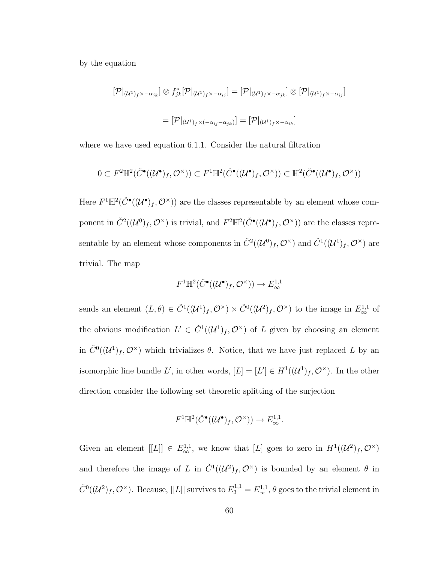by the equation

$$
[\mathcal{P}|_{(\mathcal{U}^1)_f \times -\alpha_{jk}}] \otimes f_{jk}^* [\mathcal{P}|_{(\mathcal{U}^1)_f \times -\alpha_{ij}}] = [\mathcal{P}|_{(\mathcal{U}^1)_f \times -\alpha_{jk}}] \otimes [\mathcal{P}|_{(\mathcal{U}^1)_f \times -\alpha_{ij}}]
$$

$$
= [\mathcal{P}|_{(\mathcal{U}^1)_f \times (-\alpha_{ij}-\alpha_{jk})}] = [\mathcal{P}|_{(\mathcal{U}^1)_f \times -\alpha_{ik}}]
$$

where we have used equation 6.1.1. Consider the natural filtration

$$
0 \subset F^2 \mathbb{H}^2(\check{C}^\bullet((\mathcal{U}^\bullet)_f,\mathcal{O}^\times)) \subset F^1 \mathbb{H}^2(\check{C}^\bullet((\mathcal{U}^\bullet)_f,\mathcal{O}^\times)) \subset \mathbb{H}^2(\check{C}^\bullet((\mathcal{U}^\bullet)_f,\mathcal{O}^\times))
$$

Here  $F^1 \mathbb{H}^2(\check{C}^\bullet((\mathcal{U}^\bullet)_f,\mathcal{O}^\times))$  are the classes representable by an element whose component in  $\check{C}^2((\mathcal{U}^0)_f,\mathcal{O}^\times)$  is trivial, and  $F^2\mathbb{H}^2(\check{C}^\bullet((\mathcal{U}^\bullet)_f,\mathcal{O}^\times))$  are the classes representable by an element whose components in  $\check{C}^2((\mathcal{U}^0)_f,\mathcal{O}^\times)$  and  $\check{C}^1((\mathcal{U}^1)_f,\mathcal{O}^\times)$  are trivial. The map

$$
F^1{\mathbb H}^2(\check C^\bullet((\mathcal U^\bullet)_f,\mathcal O^\times))\to E_\infty^{1,1}
$$

sends an element  $(L, \theta) \in \check{C}^1((\mathcal{U}^1)_f, \mathcal{O}^\times) \times \check{C}^0((\mathcal{U}^2)_f, \mathcal{O}^\times)$  to the image in  $E^{1,1}_\infty$  of the obvious modification  $L' \in \check{C}^1((\mathcal{U}^1)_f, \mathcal{O}^\times)$  of L given by choosing an element in  $\check{C}^0((\mathcal{U}^1)_f,\mathcal{O}^\times)$  which trivializes  $\theta$ . Notice, that we have just replaced L by an isomorphic line bundle L', in other words,  $[L] = [L'] \in H^1((\mathcal{U}^1)_f, \mathcal{O}^\times)$ . In the other direction consider the following set theoretic splitting of the surjection

$$
F^1\mathbb{H}^2(\check{C}^\bullet((\mathcal{U}^\bullet)_f,\mathcal{O}^\times))\to E^{1,1}_\infty.
$$

Given an element  $[[L]] \in E^{1,1}_{\infty}$ , we know that  $[L]$  goes to zero in  $H^1((\mathcal{U}^2)_f,\mathcal{O}^{\times})$ and therefore the image of L in  $\check{C}^1((\mathcal{U}^2)_f,\mathcal{O}^\times)$  is bounded by an element  $\theta$  in  $\check{C}^0((\mathcal{U}^2)_f,\mathcal{O}^\times)$ . Because, [[L]] survives to  $E_3^{1,1}=E_\infty^{1,1},\theta$  goes to the trivial element in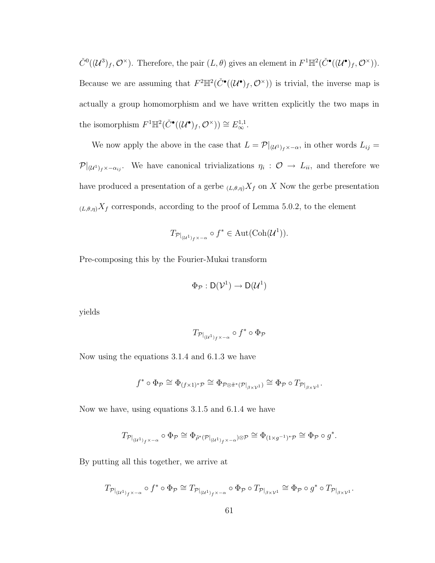$\check{C}^0((\mathcal{U}^3)_f,\mathcal{O}^\times)$ . Therefore, the pair  $(L,\theta)$  gives an element in  $F^1\mathbb{H}^2(\check{C}^\bullet((\mathcal{U}^\bullet)_f,\mathcal{O}^\times))$ . Because we are assuming that  $F^2 \mathbb{H}^2(\check{C}^\bullet((\mathcal{U}^\bullet)_f,\mathcal{O}^\times))$  is trivial, the inverse map is actually a group homomorphism and we have written explicitly the two maps in the isomorphism  $F^1 \mathbb{H}^2(\check{C}^\bullet((\mathcal{U}^\bullet)_f, \mathcal{O}^\times)) \cong E^{1,1}_\infty$ .

We now apply the above in the case that  $L = \mathcal{P}|_{(\mathcal{U}^1)_{f} \times -\alpha}$ , in other words  $L_{ij} =$  $P|_{(U_1)_f \times -\alpha_{ij}}$ . We have canonical trivializations  $\eta_i$ :  $\mathcal{O} \to L_{ii}$ , and therefore we have produced a presentation of a gerbe  $(L, \theta, \eta) X_f$  on X Now the gerbe presentation  $(L, \theta, \eta) X_f$  corresponds, according to the proof of Lemma 5.0.2, to the element

$$
T_{\mathcal{P}|_{(\mathcal{U}^1)_{f} \times -\alpha}} \circ f^* \in \mathrm{Aut}(\mathrm{Coh}(\mathcal{U}^1)).
$$

Pre-composing this by the Fourier-Mukai transform

$$
\Phi_{\mathcal{P}}: \mathsf{D}(\mathcal{V}^1) \to \mathsf{D}(\mathcal{U}^1)
$$

yields

$$
\left.T_{\mathcal{P}|_{(\mathcal{U}^1)_f^{\times\,-\alpha}}}\circ f^*\circ\Phi_{\mathcal{P}}
$$

Now using the equations 3.1.4 and 6.1.3 we have

$$
f^*\circ\Phi_{\mathcal{P}}\cong\Phi_{(f\times 1)^*\mathcal{P}}\cong\Phi_{\mathcal{P}\otimes\tilde{\pi}^*(\mathcal{P}|_{\beta\times\mathcal{V}^1})}\cong\Phi_{\mathcal{P}}\circ T_{\mathcal{P}|_{\beta\times\mathcal{V}^1}}.
$$

Now we have, using equations 3.1.5 and 6.1.4 we have

$$
T_{\mathcal{P}|_{(\mathcal{U}^1)_{f} \times -\alpha}} \circ \Phi_{\mathcal{P}} \cong \Phi_{\tilde{\rho}^*(\mathcal{P}|_{(\mathcal{U}^1)_{f} \times -\alpha}) \otimes \mathcal{P}} \cong \Phi_{(1 \times g^{-1})^* \mathcal{P}} \cong \Phi_{\mathcal{P}} \circ g^*.
$$

By putting all this together, we arrive at

$$
T_{\mathcal{P}|_{(\mathcal{U}^1)_{f} \times -\alpha}} \circ f^* \circ \Phi_{\mathcal{P}} \cong T_{\mathcal{P}|_{(\mathcal{U}^1)_{f} \times -\alpha}} \circ \Phi_{\mathcal{P}} \circ T_{\mathcal{P}|_{\beta \times \mathcal{V}^1}} \cong \Phi_{\mathcal{P}} \circ g^* \circ T_{\mathcal{P}|_{\beta \times \mathcal{V}^1}}.
$$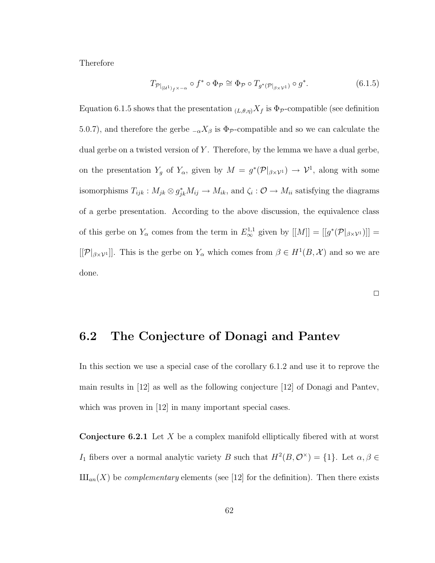Therefore

$$
T_{\mathcal{P}|_{(\mathcal{U}^1)_{f} \times -\alpha}} \circ f^* \circ \Phi_{\mathcal{P}} \cong \Phi_{\mathcal{P}} \circ T_{g^*(\mathcal{P}|_{\beta \times \mathcal{V}^1})} \circ g^*.
$$
 (6.1.5)

Equation 6.1.5 shows that the presentation  $(L, \theta, \eta) X_f$  is  $\Phi_{\mathcal{P}}$ -compatible (see definition 5.0.7), and therefore the gerbe  ${}_{-\alpha}X_{\beta}$  is  $\Phi_{\mathcal{P}}$ -compatible and so we can calculate the dual gerbe on a twisted version of  $Y$ . Therefore, by the lemma we have a dual gerbe, on the presentation  $Y_g$  of  $Y_\alpha$ , given by  $M = g^*(\mathcal{P}|_{\beta \times \mathcal{V}^1}) \to \mathcal{V}^1$ , along with some isomorphisms  $T_{ijk}$ :  $M_{jk} \otimes g_{jk}^* M_{ij} \to M_{ik}$ , and  $\zeta_i : \mathcal{O} \to M_{ii}$  satisfying the diagrams of a gerbe presentation. According to the above discussion, the equivalence class of this gerbe on  $Y_{\alpha}$  comes from the term in  $E_{\infty}^{1,1}$  given by  $[[M]] = [[g^*(P|_{\beta \times \gamma^1})]] =$  $[[P]_{\beta\times\mathcal{V}^1}]]$ . This is the gerbe on  $Y_\alpha$  which comes from  $\beta\in H^1(B,\mathcal{X})$  and so we are done.

 $\Box$ 

#### 6.2 The Conjecture of Donagi and Pantev

In this section we use a special case of the corollary 6.1.2 and use it to reprove the main results in [12] as well as the following conjecture [12] of Donagi and Pantev, which was proven in [12] in many important special cases.

Conjecture 6.2.1 Let X be a complex manifold elliptically fibered with at worst I<sub>1</sub> fibers over a normal analytic variety B such that  $H^2(B, \mathcal{O}^\times) = \{1\}$ . Let  $\alpha, \beta \in$  $\text{III}_{an}(X)$  be *complementary* elements (see [12] for the definition). Then there exists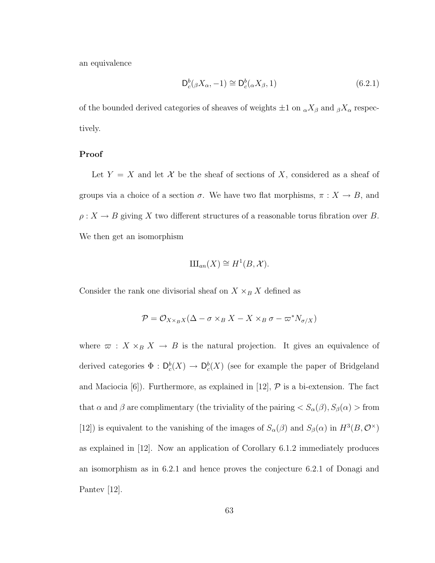an equivalence

$$
\mathsf{D}_{c}^{b}(\beta X_{\alpha}, -1) \cong \mathsf{D}_{c}^{b}(\alpha X_{\beta}, 1) \tag{6.2.1}
$$

of the bounded derived categories of sheaves of weights  $\pm 1$  on  $_{\alpha}X_{\beta}$  and  $_{\beta}X_{\alpha}$  respectively.

#### Proof

Let  $Y = X$  and let X be the sheaf of sections of X, considered as a sheaf of groups via a choice of a section  $\sigma$ . We have two flat morphisms,  $\pi : X \to B$ , and  $\rho: X \to B$  giving X two different structures of a reasonable torus fibration over B. We then get an isomorphism

$$
\mathrm{III}_{an}(X) \cong H^1(B, \mathcal{X}).
$$

Consider the rank one divisorial sheaf on  $X \times_B X$  defined as

$$
\mathcal{P} = \mathcal{O}_{X \times_B X} (\Delta - \sigma \times_B X - X \times_B \sigma - \varpi^* N_{\sigma/X})
$$

where  $\varpi : X \times_B X \to B$  is the natural projection. It gives an equivalence of derived categories  $\Phi: \mathsf{D}_{c}^{b}(X) \to \mathsf{D}_{c}^{b}(X)$  (see for example the paper of Bridgeland and Maciocia [6]). Furthermore, as explained in [12],  $\mathcal{P}$  is a bi-extension. The fact that  $\alpha$  and  $\beta$  are complimentary (the triviality of the pairing  $\langle S_{\alpha}(\beta), S_{\beta}(\alpha) \rangle$  from [12]) is equivalent to the vanishing of the images of  $S_{\alpha}(\beta)$  and  $S_{\beta}(\alpha)$  in  $H^3(B, \mathcal{O}^{\times})$ as explained in [12]. Now an application of Corollary 6.1.2 immediately produces an isomorphism as in 6.2.1 and hence proves the conjecture 6.2.1 of Donagi and Pantev [12].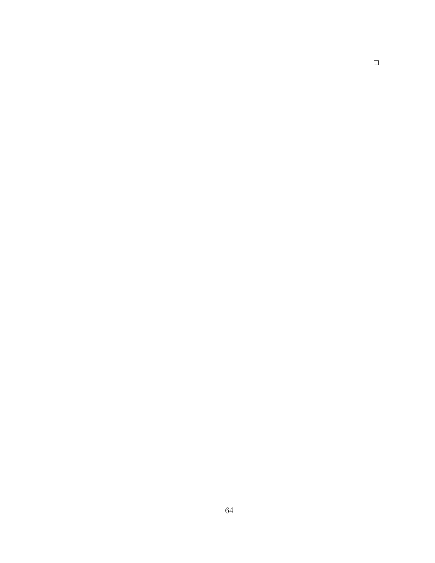$\Box$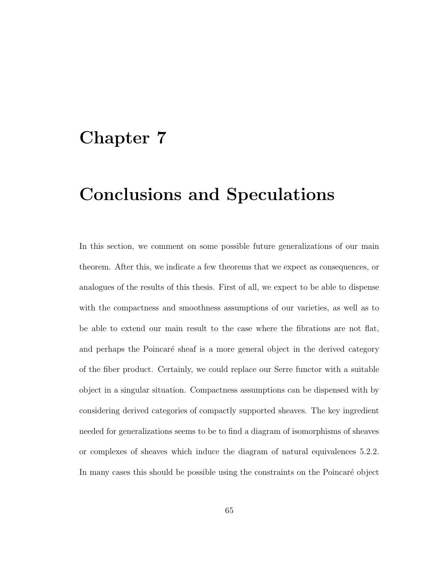## Chapter 7

# Conclusions and Speculations

In this section, we comment on some possible future generalizations of our main theorem. After this, we indicate a few theorems that we expect as consequences, or analogues of the results of this thesis. First of all, we expect to be able to dispense with the compactness and smoothness assumptions of our varieties, as well as to be able to extend our main result to the case where the fibrations are not flat, and perhaps the Poincaré sheaf is a more general object in the derived category of the fiber product. Certainly, we could replace our Serre functor with a suitable object in a singular situation. Compactness assumptions can be dispensed with by considering derived categories of compactly supported sheaves. The key ingredient needed for generalizations seems to be to find a diagram of isomorphisms of sheaves or complexes of sheaves which induce the diagram of natural equivalences 5.2.2. In many cases this should be possible using the constraints on the Poincaré object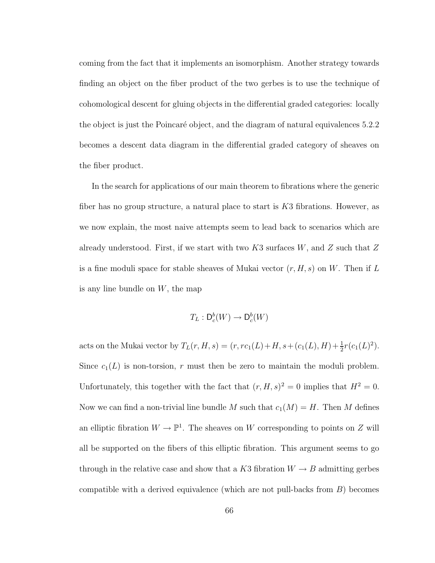coming from the fact that it implements an isomorphism. Another strategy towards finding an object on the fiber product of the two gerbes is to use the technique of cohomological descent for gluing objects in the differential graded categories: locally the object is just the Poincaré object, and the diagram of natural equivalences 5.2.2 becomes a descent data diagram in the differential graded category of sheaves on the fiber product.

In the search for applications of our main theorem to fibrations where the generic fiber has no group structure, a natural place to start is K3 fibrations. However, as we now explain, the most naive attempts seem to lead back to scenarios which are already understood. First, if we start with two  $K3$  surfaces  $W$ , and  $Z$  such that  $Z$ is a fine moduli space for stable sheaves of Mukai vector  $(r, H, s)$  on W. Then if L is any line bundle on  $W$ , the map

$$
T_L: \mathsf{D}_{c}^b(W) \to \mathsf{D}_{c}^b(W)
$$

acts on the Mukai vector by  $T_L(r, H, s) = (r, rc_1(L) + H, s + (c_1(L), H) + \frac{1}{2})$  $\frac{1}{2}r(c_1(L)^2)$ . Since  $c_1(L)$  is non-torsion, r must then be zero to maintain the moduli problem. Unfortunately, this together with the fact that  $(r, H, s)^2 = 0$  implies that  $H^2 = 0$ . Now we can find a non-trivial line bundle M such that  $c_1(M) = H$ . Then M defines an elliptic fibration  $W \to \mathbb{P}^1$ . The sheaves on W corresponding to points on Z will all be supported on the fibers of this elliptic fibration. This argument seems to go through in the relative case and show that a K3 fibration  $W \to B$  admitting gerbes compatible with a derived equivalence (which are not pull-backs from  $B$ ) becomes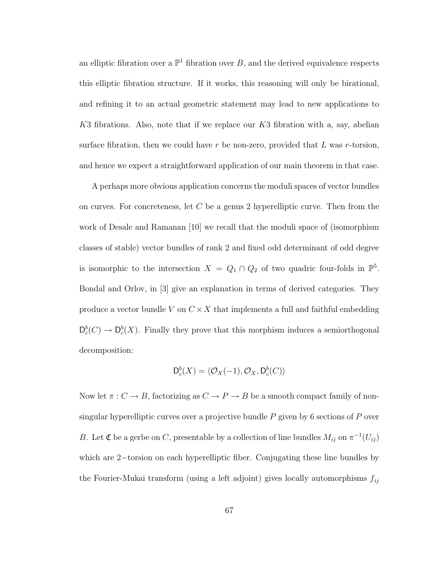an elliptic fibration over a  $\mathbb{P}^1$  fibration over B, and the derived equivalence respects this elliptic fibration structure. If it works, this reasoning will only be birational, and refining it to an actual geometric statement may lead to new applications to  $K3$  fibrations. Also, note that if we replace our  $K3$  fibration with a, say, abelian surface fibration, then we could have r be non-zero, provided that  $L$  was r-torsion, and hence we expect a straightforward application of our main theorem in that case.

A perhaps more obvious application concerns the moduli spaces of vector bundles on curves. For concreteness, let  $C$  be a genus 2 hyperelliptic curve. Then from the work of Desale and Ramanan [10] we recall that the moduli space of (isomorphism classes of stable) vector bundles of rank 2 and fixed odd determinant of odd degree is isomorphic to the intersection  $X = Q_1 \cap Q_2$  of two quadric four-folds in  $\mathbb{P}^5$ . Bondal and Orlov, in [3] give an explanation in terms of derived categories. They produce a vector bundle V on  $C \times X$  that implements a full and faithful embedding  $\mathsf{D}_{c}^{b}(C) \to \mathsf{D}_{c}^{b}(X)$ . Finally they prove that this morphism induces a semiorthogonal decomposition:

$$
\mathsf{D}_{c}^{b}(X) = \langle \mathcal{O}_{X}(-1), \mathcal{O}_{X}, \mathsf{D}_{c}^{b}(C) \rangle
$$

Now let  $\pi: C \to B$ , factorizing as  $C \to P \to B$  be a smooth compact family of nonsingular hyperelliptic curves over a projective bundle  $P$  given by 6 sections of  $P$  over B. Let  $\mathfrak C$  be a gerbe on C, presentable by a collection of line bundles  $M_{ij}$  on  $\pi^{-1}(U_{ij})$ which are 2−torsion on each hyperelliptic fiber. Conjugating these line bundles by the Fourier-Mukai transform (using a left adjoint) gives locally automorphisms  $f_{ij}$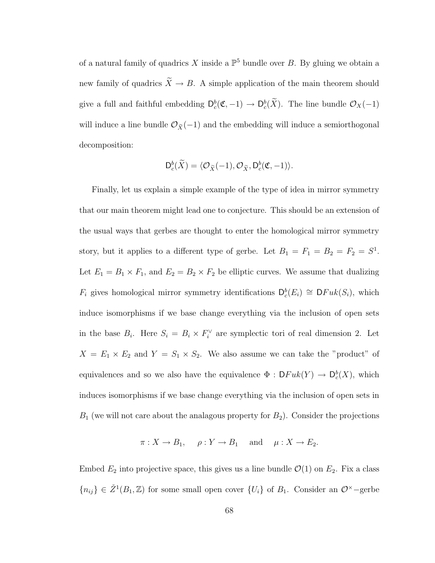of a natural family of quadrics X inside a  $\mathbb{P}^5$  bundle over B. By gluing we obtain a new family of quadrics  $\widetilde{X} \to B$ . A simple application of the main theorem should give a full and faithful embedding  $D_c^b(\mathfrak{C}, -1) \to D_c^b(\widetilde{X})$ . The line bundle  $\mathcal{O}_X(-1)$ will induce a line bundle  $\mathcal{O}_{\tilde{X}}(-1)$  and the embedding will induce a semiorthogonal decomposition:

$$
\mathsf{D}_{c}^{b}(\widetilde{X}) = \langle \mathcal{O}_{\widetilde{X}}(-1), \mathcal{O}_{\widetilde{X}}, \mathsf{D}_{c}^{b}(\mathfrak{C}, -1) \rangle.
$$

Finally, let us explain a simple example of the type of idea in mirror symmetry that our main theorem might lead one to conjecture. This should be an extension of the usual ways that gerbes are thought to enter the homological mirror symmetry story, but it applies to a different type of gerbe. Let  $B_1 = F_1 = B_2 = F_2 = S^1$ . Let  $E_1 = B_1 \times F_1$ , and  $E_2 = B_2 \times F_2$  be elliptic curves. We assume that dualizing  $F_i$  gives homological mirror symmetry identifications  $D_c^b(E_i) \cong DFuk(S_i)$ , which induce isomorphisms if we base change everything via the inclusion of open sets in the base  $B_i$ . Here  $S_i = B_i \times F_i^{\vee}$  are symplectic tori of real dimension 2. Let  $X = E_1 \times E_2$  and  $Y = S_1 \times S_2$ . We also assume we can take the "product" of equivalences and so we also have the equivalence  $\Phi : DFuk(Y) \to D_c^b(X)$ , which induces isomorphisms if we base change everything via the inclusion of open sets in  $B_1$  (we will not care about the analagous property for  $B_2$ ). Consider the projections

$$
\pi: X \to B_1
$$
,  $\rho: Y \to B_1$  and  $\mu: X \to E_2$ .

Embed  $E_2$  into projective space, this gives us a line bundle  $\mathcal{O}(1)$  on  $E_2$ . Fix a class  ${n_{ij}} \in \check{Z}^1(B_1, \mathbb{Z})$  for some small open cover  ${U_i}$  of  $B_1$ . Consider an  $\mathcal{O}^{\times}$ -gerbe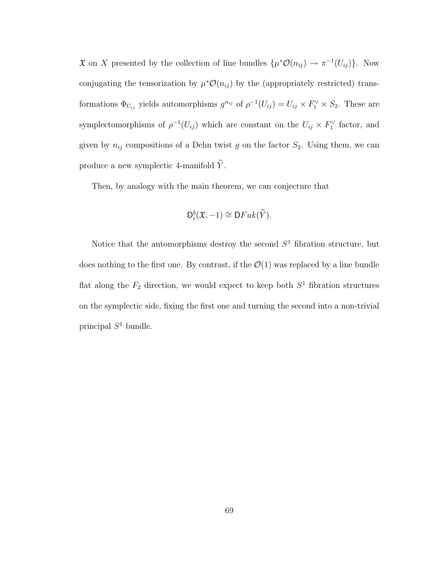$\mathfrak X$  on X presented by the collection of line bundles  $\{\mu^*\mathcal O(n_{ij}) \to \pi^{-1}(U_{ij})\}$ . Now conjugating the tensorization by  $\mu^* \mathcal{O}(n_{ij})$  by the (appropriately restricted) transformations  $\Phi_{U_{ij}}$  yields automorphisms  $g^{n_{ij}}$  of  $\rho^{-1}(U_{ij}) = U_{ij} \times F_1^{\vee} \times S_2$ . These are symplectomorphisms of  $\rho^{-1}(U_{ij})$  which are constant on the  $U_{ij} \times F_1^{\vee}$  factor, and given by  $n_{ij}$  compositions of a Dehn twist g on the factor  $S_2$ . Using them, we can produce a new symplectic 4-manifold  $\widetilde{Y}$ .

Then, by analogy with the main theorem, we can conjecture that

$$
\mathsf{D}_{c}^{b}(\mathfrak{X},-1)\cong\mathsf{D}Fuk(\widetilde{Y}).
$$

Notice that the automorphisms destroy the second  $S<sup>1</sup>$  fibration structure, but does nothing to the first one. By contrast, if the  $\mathcal{O}(1)$  was replaced by a line bundle flat along the  $F_2$  direction, we would expect to keep both  $S<sup>1</sup>$  fibration structures on the symplectic side, fixing the first one and turning the second into a non-trivial principal  $S^1$  bundle.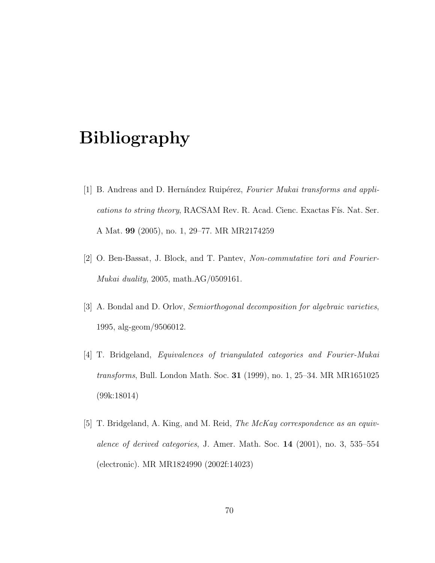## Bibliography

- [1] B. Andreas and D. Hernández Ruipérez, Fourier Mukai transforms and applications to string theory, RACSAM Rev. R. Acad. Cienc. Exactas Fís. Nat. Ser. A Mat. 99 (2005), no. 1, 29–77. MR MR2174259
- [2] O. Ben-Bassat, J. Block, and T. Pantev, Non-commutative tori and Fourier-Mukai duality, 2005, math.AG/0509161.
- [3] A. Bondal and D. Orlov, Semiorthogonal decomposition for algebraic varieties, 1995, alg-geom/9506012.
- [4] T. Bridgeland, Equivalences of triangulated categories and Fourier-Mukai transforms, Bull. London Math. Soc. 31 (1999), no. 1, 25–34. MR MR1651025 (99k:18014)
- [5] T. Bridgeland, A. King, and M. Reid, The McKay correspondence as an equivalence of derived categories, J. Amer. Math. Soc.  $14$  (2001), no. 3, 535–554 (electronic). MR MR1824990 (2002f:14023)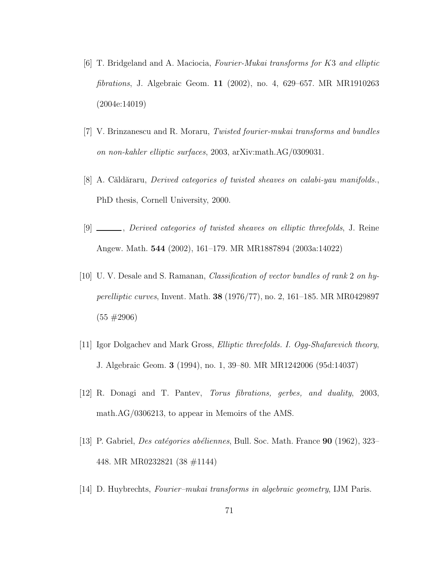- [6] T. Bridgeland and A. Maciocia, Fourier-Mukai transforms for K3 and elliptic fibrations, J. Algebraic Geom. 11 (2002), no. 4, 629–657. MR MR1910263 (2004e:14019)
- [7] V. Brinzanescu and R. Moraru, Twisted fourier-mukai transforms and bundles on non-kahler elliptic surfaces, 2003, arXiv:math.AG/0309031.
- [8] A. Căldăraru, *Derived categories of twisted sheaves on calabi-yau manifolds.*, PhD thesis, Cornell University, 2000.
- [9] , Derived categories of twisted sheaves on elliptic threefolds, J. Reine Angew. Math. 544 (2002), 161–179. MR MR1887894 (2003a:14022)
- [10] U. V. Desale and S. Ramanan, Classification of vector bundles of rank 2 on hyperelliptic curves, Invent. Math. 38 (1976/77), no. 2, 161–185. MR MR0429897  $(55 \neq 2906)$
- [11] Igor Dolgachev and Mark Gross, Elliptic threefolds. I. Ogg-Shafarevich theory, J. Algebraic Geom. 3 (1994), no. 1, 39–80. MR MR1242006 (95d:14037)
- [12] R. Donagi and T. Pantev, Torus fibrations, gerbes, and duality, 2003, math.AG/0306213, to appear in Memoirs of the AMS.
- [13] P. Gabriel, *Des catégories abéliennes*, Bull. Soc. Math. France 90 (1962), 323– 448. MR MR0232821 (38 #1144)
- [14] D. Huybrechts, Fourier–mukai transforms in algebraic geometry, IJM Paris.